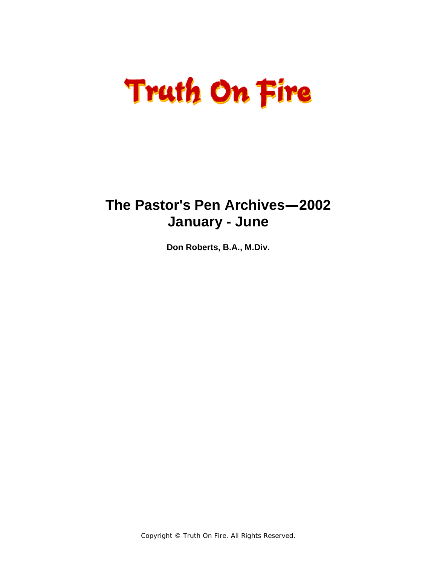# **Truth On Fire**

### **The Pastor's Pen Archives—2002 January - June**

**Don Roberts, B.A., M.Div.** 

Copyright © Truth On Fire. All Rights Reserved.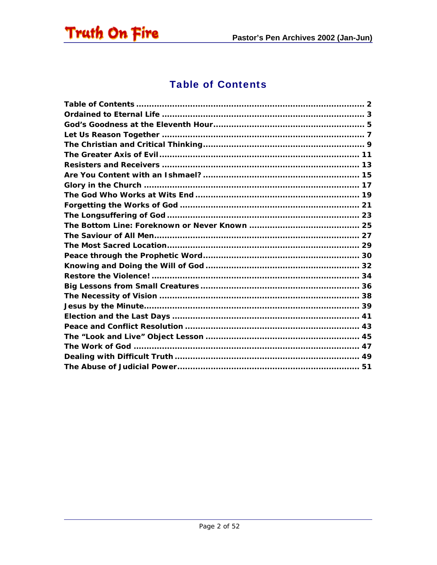<span id="page-1-0"></span>

#### **Table of Contents**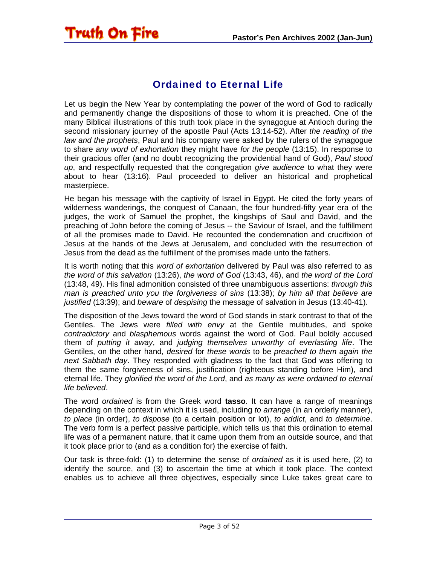#### Ordained to Eternal Life

<span id="page-2-0"></span>Truth On Fire

Let us begin the New Year by contemplating the power of the word of God to radically and permanently change the dispositions of those to whom it is preached. One of the many Biblical illustrations of this truth took place in the synagogue at Antioch during the second missionary journey of the apostle Paul (Acts 13:14-52). After *the reading of the law and the prophets*, Paul and his company were asked by the rulers of the synagogue to share *any word of exhortation* they might have *for the people* (13:15). In response to their gracious offer (and no doubt recognizing the providential hand of God), *Paul stood up*, and respectfully requested that the congregation *give audience* to what they were about to hear (13:16). Paul proceeded to deliver an historical and prophetical masterpiece.

He began his message with the captivity of Israel in Egypt. He cited the forty years of wilderness wanderings, the conquest of Canaan, the four hundred-fifty year era of the judges, the work of Samuel the prophet, the kingships of Saul and David, and the preaching of John before the coming of Jesus -- the Saviour of Israel, and the fulfillment of all the promises made to David. He recounted the condemnation and crucifixion of Jesus at the hands of the Jews at Jerusalem, and concluded with the resurrection of Jesus from the dead as the fulfillment of the promises made unto the fathers.

It is worth noting that this *word of exhortation* delivered by Paul was also referred to as *the word of this salvation* (13:26), *the word of God* (13:43, 46), and *the word of the Lord* (13:48, 49). His final admonition consisted of three unambiguous assertions: *through this man is preached unto you the forgiveness of sins* (13:38); *by him all that believe are justified* (13:39); and *beware* of *despising* the message of salvation in Jesus (13:40-41).

The disposition of the Jews toward the word of God stands in stark contrast to that of the Gentiles. The Jews were *filled with envy* at the Gentile multitudes, and spoke *contradictory* and *blasphemous* words against the word of God. Paul boldly accused them of *putting it away*, and *judging themselves unworthy of everlasting life*. The Gentiles, on the other hand, *desired* for *these words* to be *preached to them again the next Sabbath day*. They responded with gladness to the fact that God was offering to them the same forgiveness of sins, justification (righteous standing before Him), and eternal life. They *glorified the word of the Lord*, and *as many as were ordained to eternal life believed*.

The word *ordained* is from the Greek word **tasso**. It can have a range of meanings depending on the context in which it is used, including *to arrange* (in an orderly manner), *to place* (in order), *to dispose* (to a certain position or lot), *to addict*, and *to determine*. The verb form is a perfect passive participle, which tells us that this ordination to eternal life was of a permanent nature, that it came upon them from an outside source, and that it took place prior to (and as a condition for) the exercise of faith.

Our task is three-fold: (1) to determine the sense of *ordained* as it is used here, (2) to identify the source, and (3) to ascertain the time at which it took place. The context enables us to achieve all three objectives, especially since Luke takes great care to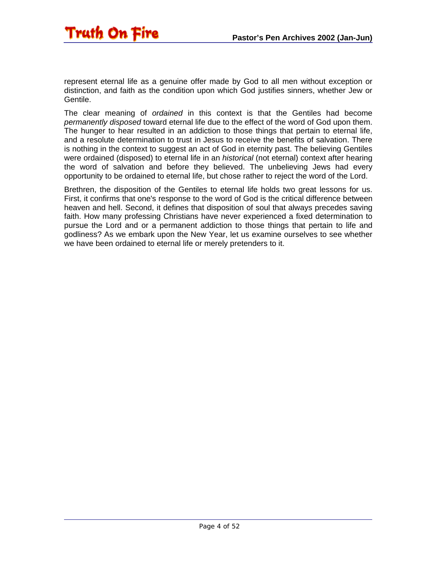

represent eternal life as a genuine offer made by God to all men without exception or distinction, and faith as the condition upon which God justifies sinners, whether Jew or Gentile.

The clear meaning of *ordained* in this context is that the Gentiles had become *permanently disposed* toward eternal life due to the effect of the word of God upon them. The hunger to hear resulted in an addiction to those things that pertain to eternal life, and a resolute determination to trust in Jesus to receive the benefits of salvation. There is nothing in the context to suggest an act of God in eternity past. The believing Gentiles were ordained (disposed) to eternal life in an *historical* (not eternal) context after hearing the word of salvation and before they believed. The unbelieving Jews had every opportunity to be ordained to eternal life, but chose rather to reject the word of the Lord.

Brethren, the disposition of the Gentiles to eternal life holds two great lessons for us. First, it confirms that one's response to the word of God is the critical difference between heaven and hell. Second, it defines that disposition of soul that always precedes saving faith. How many professing Christians have never experienced a fixed determination to pursue the Lord and or a permanent addiction to those things that pertain to life and godliness? As we embark upon the New Year, let us examine ourselves to see whether we have been ordained to eternal life or merely pretenders to it.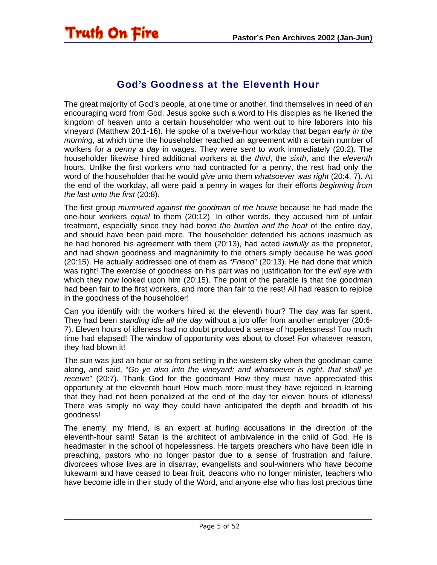<span id="page-4-0"></span>

#### God's Goodness at the Eleventh Hour

The great majority of God's people, at one time or another, find themselves in need of an encouraging word from God. Jesus spoke such a word to His disciples as he likened the kingdom of heaven unto a certain householder who went out to hire laborers into his vineyard (Matthew 20:1-16). He spoke of a twelve-hour workday that began *early in the morning*, at which time the householder reached an agreement with a certain number of workers for *a penny a day* in wages. They were *sent* to work immediately (20:2). The householder likewise hired additional workers at the *third*, the *sixth*, and the *eleventh* hours. Unlike the first workers who had contracted for a penny, the rest had only the word of the householder that he would *give* unto them *whatsoever was right* (20:4, 7). At the end of the workday, all were paid a penny in wages for their efforts *beginning from the last unto the first* (20:8).

The first group *murmured against the goodman of the house* because he had made the one-hour workers *equal* to them (20:12). In other words, they accused him of unfair treatment, especially since they had *borne the burden and the heat* of the entire day, and should have been paid more. The householder defended his actions inasmuch as he had honored his agreement with them (20:13), had acted *lawfully* as the proprietor, and had shown goodness and magnanimity to the others simply because he was *good* (20:15). He actually addressed one of them as "*Friend*" (20:13). He had done that which was right! The exercise of goodness on his part was no justification for the *evil eye* with which they now looked upon him (20:15). The point of the parable is that the goodman had been fair to the first workers, and more than fair to the rest! All had reason to rejoice in the goodness of the householder!

Can you identify with the workers hired at the eleventh hour? The day was far spent. They had been *standing idle all the day* without a job offer from another employer (20:6- 7). Eleven hours of idleness had no doubt produced a sense of hopelessness! Too much time had elapsed! The window of opportunity was about to close! For whatever reason, they had blown it!

The sun was just an hour or so from setting in the western sky when the goodman came along, and said, "*Go ye also into the vineyard: and whatsoever is right, that shall ye receive*" (20:7). Thank God for the goodman! How they must have appreciated this opportunity at the eleventh hour! How much more must they have rejoiced in learning that they had not been penalized at the end of the day for eleven hours of idleness! There was simply no way they could have anticipated the depth and breadth of his goodness!

The enemy, my friend, is an expert at hurling accusations in the direction of the eleventh-hour saint! Satan is the architect of ambivalence in the child of God. He is headmaster in the school of hopelessness. He targets preachers who have been idle in preaching, pastors who no longer pastor due to a sense of frustration and failure, divorcees whose lives are in disarray, evangelists and soul-winners who have become lukewarm and have ceased to bear fruit, deacons who no longer minister, teachers who have become idle in their study of the Word, and anyone else who has lost precious time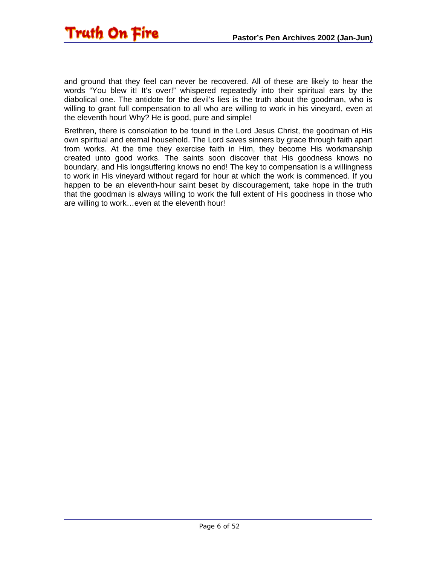

and ground that they feel can never be recovered. All of these are likely to hear the words "You blew it! It's over!" whispered repeatedly into their spiritual ears by the diabolical one. The antidote for the devil's lies is the truth about the goodman, who is willing to grant full compensation to all who are willing to work in his vineyard, even at the eleventh hour! Why? He is good, pure and simple!

Brethren, there is consolation to be found in the Lord Jesus Christ, the goodman of His own spiritual and eternal household. The Lord saves sinners by grace through faith apart from works. At the time they exercise faith in Him, they become His workmanship created unto good works. The saints soon discover that His goodness knows no boundary, and His longsuffering knows no end! The key to compensation is a willingness to work in His vineyard without regard for hour at which the work is commenced. If you happen to be an eleventh-hour saint beset by discouragement, take hope in the truth that the goodman is always willing to work the full extent of His goodness in those who are willing to work…even at the eleventh hour!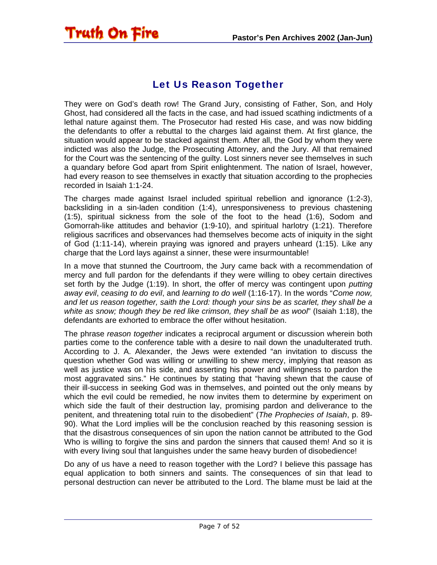#### Let Us Reason Together

<span id="page-6-0"></span>**Truth On Fire** 

They were on God's death row! The Grand Jury, consisting of Father, Son, and Holy Ghost, had considered all the facts in the case, and had issued scathing indictments of a lethal nature against them. The Prosecutor had rested His case, and was now bidding the defendants to offer a rebuttal to the charges laid against them. At first glance, the situation would appear to be stacked against them. After all, the God by whom they were indicted was also the Judge, the Prosecuting Attorney, and the Jury. All that remained for the Court was the sentencing of the guilty. Lost sinners never see themselves in such a quandary before God apart from Spirit enlightenment. The nation of Israel, however, had every reason to see themselves in exactly that situation according to the prophecies recorded in Isaiah 1:1-24.

The charges made against Israel included spiritual rebellion and ignorance (1:2-3), backsliding in a sin-laden condition (1:4), unresponsiveness to previous chastening (1:5), spiritual sickness from the sole of the foot to the head (1:6), Sodom and Gomorrah-like attitudes and behavior (1:9-10), and spiritual harlotry (1:21). Therefore religious sacrifices and observances had themselves become acts of iniquity in the sight of God (1:11-14), wherein praying was ignored and prayers unheard (1:15). Like any charge that the Lord lays against a sinner, these were insurmountable!

In a move that stunned the Courtroom, the Jury came back with a recommendation of mercy and full pardon for the defendants if they were willing to obey certain directives set forth by the Judge (1:19). In short, the offer of mercy was contingent upon *putting away evil*, *ceasing to do evil*, and *learning to do well* (1:16-17). In the words "*Come now, and let us reason together, saith the Lord: though your sins be as scarlet, they shall be a white as snow; though they be red like crimson, they shall be as wool*" (Isaiah 1:18), the defendants are exhorted to embrace the offer without hesitation.

The phrase *reason together* indicates a reciprocal argument or discussion wherein both parties come to the conference table with a desire to nail down the unadulterated truth. According to J. A. Alexander, the Jews were extended "an invitation to discuss the question whether God was willing or unwilling to shew mercy, implying that reason as well as justice was on his side, and asserting his power and willingness to pardon the most aggravated sins." He continues by stating that "having shewn that the cause of their ill-success in seeking God was in themselves, and pointed out the only means by which the evil could be remedied, he now invites them to determine by experiment on which side the fault of their destruction lay, promising pardon and deliverance to the penitent, and threatening total ruin to the disobedient" (*The Prophecies of Isaiah*, p. 89- 90). What the Lord implies will be the conclusion reached by this reasoning session is that the disastrous consequences of sin upon the nation cannot be attributed to the God Who is willing to forgive the sins and pardon the sinners that caused them! And so it is with every living soul that languishes under the same heavy burden of disobedience!

Do any of us have a need to reason together with the Lord? I believe this passage has equal application to both sinners and saints. The consequences of sin that lead to personal destruction can never be attributed to the Lord. The blame must be laid at the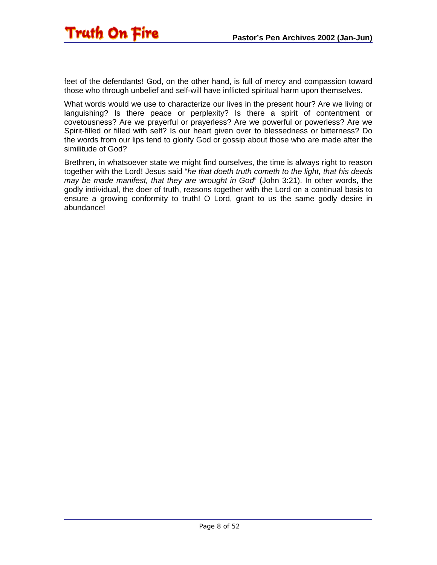

feet of the defendants! God, on the other hand, is full of mercy and compassion toward those who through unbelief and self-will have inflicted spiritual harm upon themselves.

What words would we use to characterize our lives in the present hour? Are we living or languishing? Is there peace or perplexity? Is there a spirit of contentment or covetousness? Are we prayerful or prayerless? Are we powerful or powerless? Are we Spirit-filled or filled with self? Is our heart given over to blessedness or bitterness? Do the words from our lips tend to glorify God or gossip about those who are made after the similitude of God?

Brethren, in whatsoever state we might find ourselves, the time is always right to reason together with the Lord! Jesus said "*he that doeth truth cometh to the light, that his deeds may be made manifest, that they are wrought in God*" (John 3:21). In other words, the godly individual, the doer of truth, reasons together with the Lord on a continual basis to ensure a growing conformity to truth! O Lord, grant to us the same godly desire in abundance!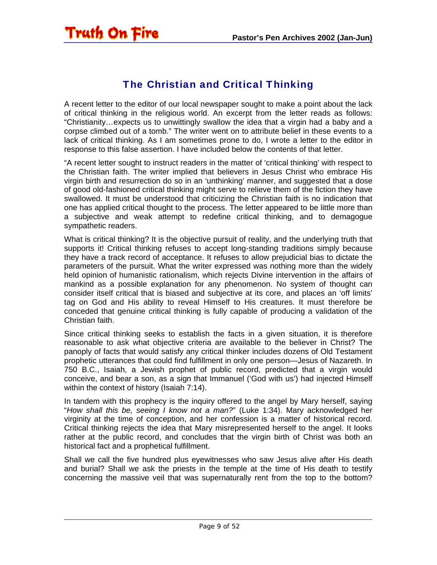#### The Christian and Critical Thinking

<span id="page-8-0"></span>A recent letter to the editor of our local newspaper sought to make a point about the lack of critical thinking in the religious world. An excerpt from the letter reads as follows: "Christianity…expects us to unwittingly swallow the idea that a virgin had a baby and a corpse climbed out of a tomb." The writer went on to attribute belief in these events to a lack of critical thinking. As I am sometimes prone to do, I wrote a letter to the editor in response to this false assertion. I have included below the contents of that letter.

"A recent letter sought to instruct readers in the matter of 'critical thinking' with respect to the Christian faith. The writer implied that believers in Jesus Christ who embrace His virgin birth and resurrection do so in an 'unthinking' manner, and suggested that a dose of good old-fashioned critical thinking might serve to relieve them of the fiction they have swallowed. It must be understood that criticizing the Christian faith is no indication that one has applied critical thought to the process. The letter appeared to be little more than a subjective and weak attempt to redefine critical thinking, and to demagogue sympathetic readers.

What is critical thinking? It is the objective pursuit of reality, and the underlying truth that supports it! Critical thinking refuses to accept long-standing traditions simply because they have a track record of acceptance. It refuses to allow prejudicial bias to dictate the parameters of the pursuit. What the writer expressed was nothing more than the widely held opinion of humanistic rationalism, which rejects Divine intervention in the affairs of mankind as a possible explanation for any phenomenon. No system of thought can consider itself critical that is biased and subjective at its core, and places an 'off limits' tag on God and His ability to reveal Himself to His creatures. It must therefore be conceded that genuine critical thinking is fully capable of producing a validation of the Christian faith.

Since critical thinking seeks to establish the facts in a given situation, it is therefore reasonable to ask what objective criteria are available to the believer in Christ? The panoply of facts that would satisfy any critical thinker includes dozens of Old Testament prophetic utterances that could find fulfillment in only one person—Jesus of Nazareth. In 750 B.C., Isaiah, a Jewish prophet of public record, predicted that a virgin would conceive, and bear a son, as a sign that Immanuel ('God with us') had injected Himself within the context of history (Isaiah 7:14).

In tandem with this prophecy is the inquiry offered to the angel by Mary herself, saying "*How shall this be, seeing I know not a man?*" (Luke 1:34). Mary acknowledged her virginity at the time of conception, and her confession is a matter of historical record. Critical thinking rejects the idea that Mary misrepresented herself to the angel. It looks rather at the public record, and concludes that the virgin birth of Christ was both an historical fact and a prophetical fulfillment.

Shall we call the five hundred plus eyewitnesses who saw Jesus alive after His death and burial? Shall we ask the priests in the temple at the time of His death to testify concerning the massive veil that was supernaturally rent from the top to the bottom?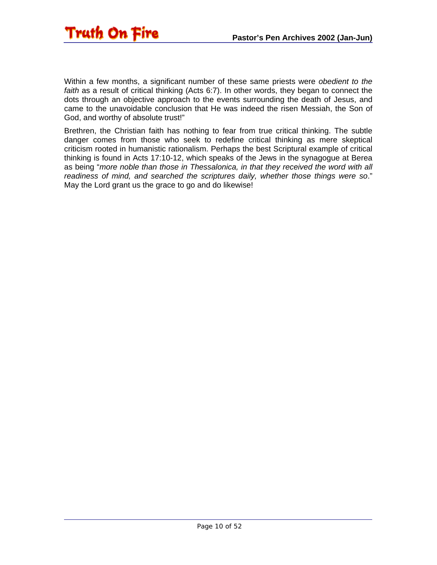

Within a few months, a significant number of these same priests were *obedient to the faith* as a result of critical thinking (Acts 6:7). In other words, they began to connect the dots through an objective approach to the events surrounding the death of Jesus, and came to the unavoidable conclusion that He was indeed the risen Messiah, the Son of God, and worthy of absolute trust!"

Brethren, the Christian faith has nothing to fear from true critical thinking. The subtle danger comes from those who seek to redefine critical thinking as mere skeptical criticism rooted in humanistic rationalism. Perhaps the best Scriptural example of critical thinking is found in Acts 17:10-12, which speaks of the Jews in the synagogue at Berea as being "*more noble than those in Thessalonica, in that they received the word with all readiness of mind, and searched the scriptures daily, whether those things were so*." May the Lord grant us the grace to go and do likewise!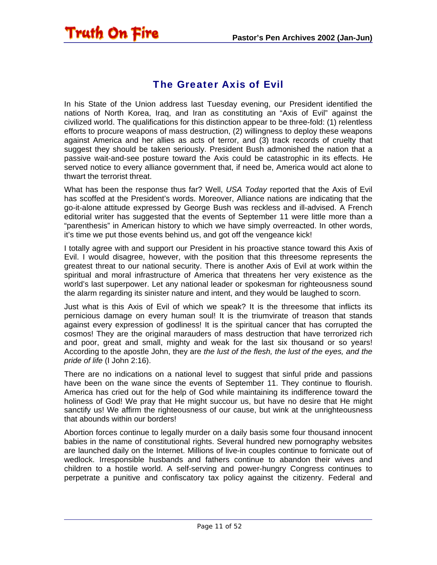#### The Greater Axis of Evil

<span id="page-10-0"></span>Truth On Fire

In his State of the Union address last Tuesday evening, our President identified the nations of North Korea, Iraq, and Iran as constituting an "Axis of Evil" against the civilized world. The qualifications for this distinction appear to be three-fold: (1) relentless efforts to procure weapons of mass destruction, (2) willingness to deploy these weapons against America and her allies as acts of terror, and (3) track records of cruelty that suggest they should be taken seriously. President Bush admonished the nation that a passive wait-and-see posture toward the Axis could be catastrophic in its effects. He served notice to every alliance government that, if need be, America would act alone to thwart the terrorist threat.

What has been the response thus far? Well, *USA Today* reported that the Axis of Evil has scoffed at the President's words. Moreover, Alliance nations are indicating that the go-it-alone attitude expressed by George Bush was reckless and ill-advised. A French editorial writer has suggested that the events of September 11 were little more than a "parenthesis" in American history to which we have simply overreacted. In other words, it's time we put those events behind us, and got off the vengeance kick!

I totally agree with and support our President in his proactive stance toward this Axis of Evil. I would disagree, however, with the position that this threesome represents the greatest threat to our national security. There is another Axis of Evil at work within the spiritual and moral infrastructure of America that threatens her very existence as the world's last superpower. Let any national leader or spokesman for righteousness sound the alarm regarding its sinister nature and intent, and they would be laughed to scorn.

Just what is this Axis of Evil of which we speak? It is the threesome that inflicts its pernicious damage on every human soul! It is the triumvirate of treason that stands against every expression of godliness! It is the spiritual cancer that has corrupted the cosmos! They are the original marauders of mass destruction that have terrorized rich and poor, great and small, mighty and weak for the last six thousand or so years! According to the apostle John, they are *the lust of the flesh, the lust of the eyes, and the pride of life* (I John 2:16).

There are no indications on a national level to suggest that sinful pride and passions have been on the wane since the events of September 11. They continue to flourish. America has cried out for the help of God while maintaining its indifference toward the holiness of God! We pray that He might succour us, but have no desire that He might sanctify us! We affirm the righteousness of our cause, but wink at the unrighteousness that abounds within our borders!

Abortion forces continue to legally murder on a daily basis some four thousand innocent babies in the name of constitutional rights. Several hundred new pornography websites are launched daily on the Internet. Millions of live-in couples continue to fornicate out of wedlock. Irresponsible husbands and fathers continue to abandon their wives and children to a hostile world. A self-serving and power-hungry Congress continues to perpetrate a punitive and confiscatory tax policy against the citizenry. Federal and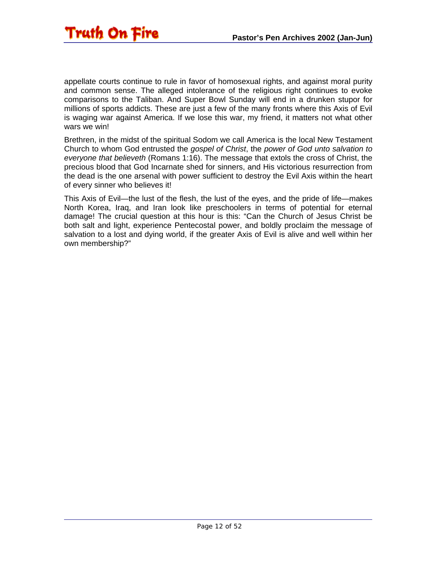

appellate courts continue to rule in favor of homosexual rights, and against moral purity and common sense. The alleged intolerance of the religious right continues to evoke comparisons to the Taliban. And Super Bowl Sunday will end in a drunken stupor for millions of sports addicts. These are just a few of the many fronts where this Axis of Evil is waging war against America. If we lose this war, my friend, it matters not what other wars we win!

Brethren, in the midst of the spiritual Sodom we call America is the local New Testament Church to whom God entrusted the *gospel of Christ*, the *power of God unto salvation to everyone that believeth* (Romans 1:16). The message that extols the cross of Christ, the precious blood that God Incarnate shed for sinners, and His victorious resurrection from the dead is the one arsenal with power sufficient to destroy the Evil Axis within the heart of every sinner who believes it!

This Axis of Evil—the lust of the flesh, the lust of the eyes, and the pride of life—makes North Korea, Iraq, and Iran look like preschoolers in terms of potential for eternal damage! The crucial question at this hour is this: "Can the Church of Jesus Christ be both salt and light, experience Pentecostal power, and boldly proclaim the message of salvation to a lost and dying world, if the greater Axis of Evil is alive and well within her own membership?"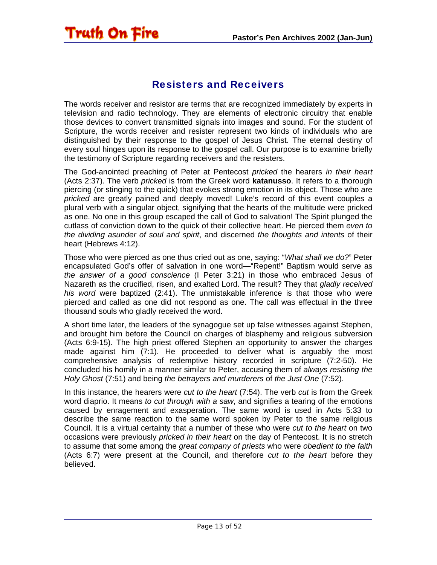#### Resisters and Receivers

<span id="page-12-0"></span>**Truth On Fire** 

The words receiver and resistor are terms that are recognized immediately by experts in television and radio technology. They are elements of electronic circuitry that enable those devices to convert transmitted signals into images and sound. For the student of Scripture, the words receiver and resister represent two kinds of individuals who are distinguished by their response to the gospel of Jesus Christ. The eternal destiny of every soul hinges upon its response to the gospel call. Our purpose is to examine briefly the testimony of Scripture regarding receivers and the resisters.

The God-anointed preaching of Peter at Pentecost *pricked* the hearers *in their heart* (Acts 2:37). The verb *pricked* is from the Greek word **katanusso**. It refers to a thorough piercing (or stinging to the quick) that evokes strong emotion in its object. Those who are *pricked* are greatly pained and deeply moved! Luke's record of this event couples a plural verb with a singular object, signifying that the hearts of the multitude were pricked as one. No one in this group escaped the call of God to salvation! The Spirit plunged the cutlass of conviction down to the quick of their collective heart. He pierced them *even to the dividing asunder of soul and spirit*, and discerned *the thoughts and intents* of their heart (Hebrews 4:12).

Those who were pierced as one thus cried out as one, saying: "*What shall we do?*" Peter encapsulated God's offer of salvation in one word—"Repent!" Baptism would serve as *the answer of a good conscience* (I Peter 3:21) in those who embraced Jesus of Nazareth as the crucified, risen, and exalted Lord. The result? They that *gladly received his word* were baptized (2:41). The unmistakable inference is that those who were pierced and called as one did not respond as one. The call was effectual in the three thousand souls who gladly received the word.

A short time later, the leaders of the synagogue set up false witnesses against Stephen, and brought him before the Council on charges of blasphemy and religious subversion (Acts 6:9-15). The high priest offered Stephen an opportunity to answer the charges made against him (7:1). He proceeded to deliver what is arguably the most comprehensive analysis of redemptive history recorded in scripture (7:2-50). He concluded his homily in a manner similar to Peter, accusing them of *always resisting the Holy Ghost* (7:51) and being *the betrayers and murderers* of *the Just One* (7:52).

In this instance, the hearers were *cut to the heart* (7:54). The verb *cut* is from the Greek word diaprio. It means *to cut through with a saw*, and signifies a tearing of the emotions caused by enragement and exasperation. The same word is used in Acts 5:33 to describe the same reaction to the same word spoken by Peter to the same religious Council. It is a virtual certainty that a number of these who were *cut to the heart* on two occasions were previously *pricked in their heart* on the day of Pentecost. It is no stretch to assume that some among the *great company of priests* who were *obedient to the faith* (Acts 6:7) were present at the Council, and therefore *cut to the heart* before they believed.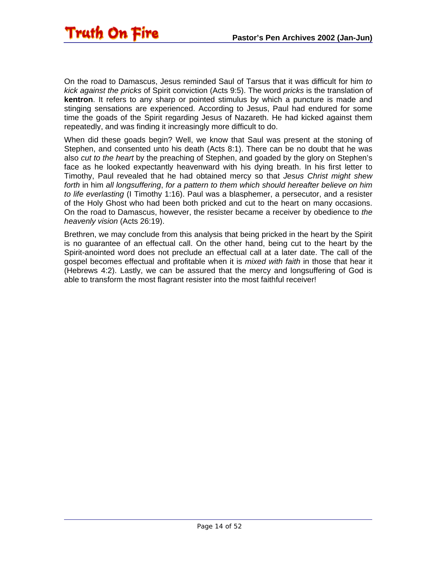

On the road to Damascus, Jesus reminded Saul of Tarsus that it was difficult for him *to kick against the pricks* of Spirit conviction (Acts 9:5). The word *pricks* is the translation of **kentron**. It refers to any sharp or pointed stimulus by which a puncture is made and stinging sensations are experienced. According to Jesus, Paul had endured for some time the goads of the Spirit regarding Jesus of Nazareth. He had kicked against them repeatedly, and was finding it increasingly more difficult to do.

When did these goads begin? Well, we know that Saul was present at the stoning of Stephen, and consented unto his death (Acts 8:1). There can be no doubt that he was also *cut to the heart* by the preaching of Stephen, and goaded by the glory on Stephen's face as he looked expectantly heavenward with his dying breath. In his first letter to Timothy, Paul revealed that he had obtained mercy so that *Jesus Christ might shew forth* in him *all longsuffering*, *for a pattern to them which should hereafter believe on him to life everlasting* (I Timothy 1:16). Paul was a blasphemer, a persecutor, and a resister of the Holy Ghost who had been both pricked and cut to the heart on many occasions. On the road to Damascus, however, the resister became a receiver by obedience to *the heavenly vision* (Acts 26:19).

Brethren, we may conclude from this analysis that being pricked in the heart by the Spirit is no guarantee of an effectual call. On the other hand, being cut to the heart by the Spirit-anointed word does not preclude an effectual call at a later date. The call of the gospel becomes effectual and profitable when it is *mixed with faith* in those that hear it (Hebrews 4:2). Lastly, we can be assured that the mercy and longsuffering of God is able to transform the most flagrant resister into the most faithful receiver!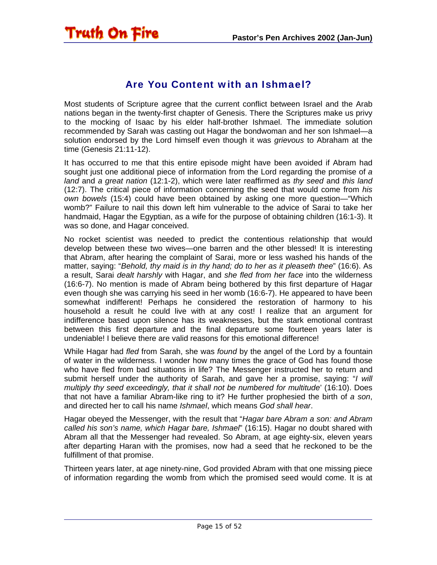<span id="page-14-0"></span>

#### Are You Content with an Ishmael?

Most students of Scripture agree that the current conflict between Israel and the Arab nations began in the twenty-first chapter of Genesis. There the Scriptures make us privy to the mocking of Isaac by his elder half-brother Ishmael. The immediate solution recommended by Sarah was casting out Hagar the bondwoman and her son Ishmael—a solution endorsed by the Lord himself even though it was *grievous* to Abraham at the time (Genesis 21:11-12).

It has occurred to me that this entire episode might have been avoided if Abram had sought just one additional piece of information from the Lord regarding the promise of *a land* and *a great nation* (12:1-2), which were later reaffirmed as *thy seed* and *this land* (12:7). The critical piece of information concerning the seed that would come from *his own bowels* (15:4) could have been obtained by asking one more question—"Which womb?" Failure to nail this down left him vulnerable to the advice of Sarai to take her handmaid, Hagar the Egyptian, as a wife for the purpose of obtaining children (16:1-3). It was so done, and Hagar conceived.

No rocket scientist was needed to predict the contentious relationship that would develop between these two wives—one barren and the other blessed! It is interesting that Abram, after hearing the complaint of Sarai, more or less washed his hands of the matter, saying: "*Behold, thy maid is in thy hand; do to her as it pleaseth thee*" (16:6). As a result, Sarai *dealt harshly* with Hagar, and *she fled from her face* into the wilderness (16:6-7). No mention is made of Abram being bothered by this first departure of Hagar even though she was carrying his seed in her womb (16:6-7). He appeared to have been somewhat indifferent! Perhaps he considered the restoration of harmony to his household a result he could live with at any cost! I realize that an argument for indifference based upon silence has its weaknesses, but the stark emotional contrast between this first departure and the final departure some fourteen years later is undeniable! I believe there are valid reasons for this emotional difference!

While Hagar had *fled* from Sarah, she was *found* by the angel of the Lord by a fountain of water in the wilderness. I wonder how many times the grace of God has found those who have fled from bad situations in life? The Messenger instructed her to return and submit herself under the authority of Sarah, and gave her a promise, saying: "*I will multiply thy seed exceedingly, that it shall not be numbered for multitude*' (16:10). Does that not have a familiar Abram-like ring to it? He further prophesied the birth of *a son*, and directed her to call his name *Ishmael*, which means *God shall hear*.

Hagar obeyed the Messenger, with the result that "*Hagar bare Abram a son: and Abram called his son's name, which Hagar bare, Ishmael*" (16:15). Hagar no doubt shared with Abram all that the Messenger had revealed. So Abram, at age eighty-six, eleven years after departing Haran with the promises, now had a seed that he reckoned to be the fulfillment of that promise.

Thirteen years later, at age ninety-nine, God provided Abram with that one missing piece of information regarding the womb from which the promised seed would come. It is at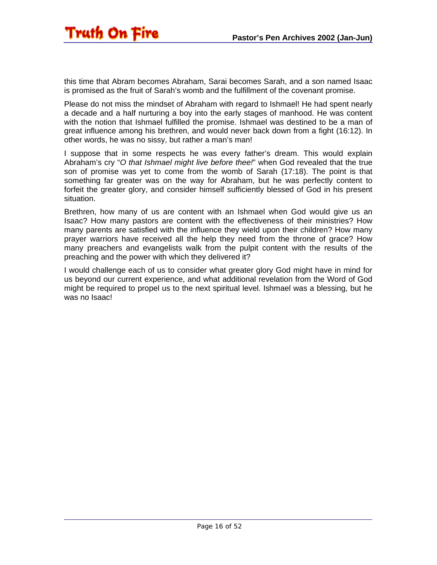this time that Abram becomes Abraham, Sarai becomes Sarah, and a son named Isaac is promised as the fruit of Sarah's womb and the fulfillment of the covenant promise.

Please do not miss the mindset of Abraham with regard to Ishmael! He had spent nearly a decade and a half nurturing a boy into the early stages of manhood. He was content with the notion that Ishmael fulfilled the promise. Ishmael was destined to be a man of great influence among his brethren, and would never back down from a fight (16:12). In other words, he was no sissy, but rather a man's man!

I suppose that in some respects he was every father's dream. This would explain Abraham's cry "*O that Ishmael might live before thee!*" when God revealed that the true son of promise was yet to come from the womb of Sarah (17:18). The point is that something far greater was on the way for Abraham, but he was perfectly content to forfeit the greater glory, and consider himself sufficiently blessed of God in his present situation.

Brethren, how many of us are content with an Ishmael when God would give us an Isaac? How many pastors are content with the effectiveness of their ministries? How many parents are satisfied with the influence they wield upon their children? How many prayer warriors have received all the help they need from the throne of grace? How many preachers and evangelists walk from the pulpit content with the results of the preaching and the power with which they delivered it?

I would challenge each of us to consider what greater glory God might have in mind for us beyond our current experience, and what additional revelation from the Word of God might be required to propel us to the next spiritual level. Ishmael was a blessing, but he was no Isaac!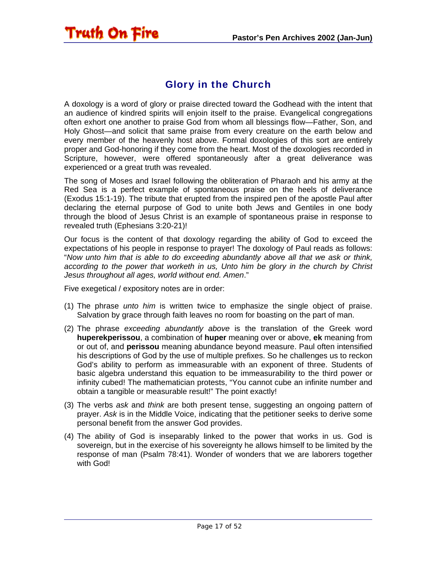#### Glory in the Church

A doxology is a word of glory or praise directed toward the Godhead with the intent that an audience of kindred spirits will enjoin itself to the praise. Evangelical congregations often exhort one another to praise God from whom all blessings flow—Father, Son, and Holy Ghost—and solicit that same praise from every creature on the earth below and every member of the heavenly host above. Formal doxologies of this sort are entirely proper and God-honoring if they come from the heart. Most of the doxologies recorded in Scripture, however, were offered spontaneously after a great deliverance was experienced or a great truth was revealed.

The song of Moses and Israel following the obliteration of Pharaoh and his army at the Red Sea is a perfect example of spontaneous praise on the heels of deliverance (Exodus 15:1-19). The tribute that erupted from the inspired pen of the apostle Paul after declaring the eternal purpose of God to unite both Jews and Gentiles in one body through the blood of Jesus Christ is an example of spontaneous praise in response to revealed truth (Ephesians 3:20-21)!

Our focus is the content of that doxology regarding the ability of God to exceed the expectations of his people in response to prayer! The doxology of Paul reads as follows: "*Now unto him that is able to do exceeding abundantly above all that we ask or think, according to the power that worketh in us, Unto him be glory in the church by Christ Jesus throughout all ages, world without end. Amen*."

Five exegetical / expository notes are in order:

<span id="page-16-0"></span>Truth On Fire

- (1) The phrase *unto him* is written twice to emphasize the single object of praise. Salvation by grace through faith leaves no room for boasting on the part of man.
- (2) The phrase *exceeding abundantly above* is the translation of the Greek word **huperekperissou**, a combination of **huper** meaning over or above, **ek** meaning from or out of, and **perissou** meaning abundance beyond measure. Paul often intensified his descriptions of God by the use of multiple prefixes. So he challenges us to reckon God's ability to perform as immeasurable with an exponent of three. Students of basic algebra understand this equation to be immeasurability to the third power or infinity cubed! The mathematician protests, "You cannot cube an infinite number and obtain a tangible or measurable result!" The point exactly!
- (3) The verbs *ask* and *think* are both present tense, suggesting an ongoing pattern of prayer. *Ask* is in the Middle Voice, indicating that the petitioner seeks to derive some personal benefit from the answer God provides.
- (4) The ability of God is inseparably linked to the power that works in us. God is sovereign, but in the exercise of his sovereignty he allows himself to be limited by the response of man (Psalm 78:41). Wonder of wonders that we are laborers together with God!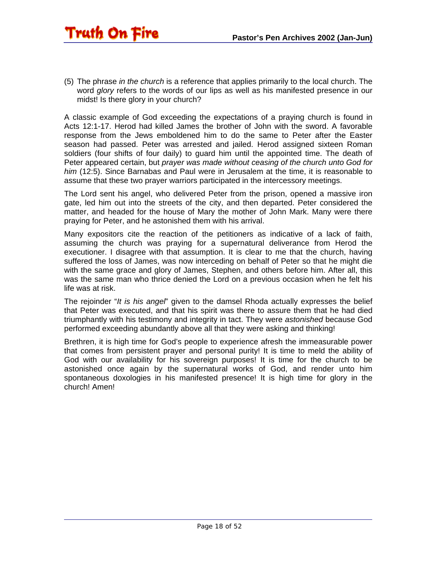(5) The phrase *in the church* is a reference that applies primarily to the local church. The word *glory* refers to the words of our lips as well as his manifested presence in our midst! Is there glory in your church?

A classic example of God exceeding the expectations of a praying church is found in Acts 12:1-17. Herod had killed James the brother of John with the sword. A favorable response from the Jews emboldened him to do the same to Peter after the Easter season had passed. Peter was arrested and jailed. Herod assigned sixteen Roman soldiers (four shifts of four daily) to guard him until the appointed time. The death of Peter appeared certain, but *prayer was made without ceasing of the church unto God for him* (12:5). Since Barnabas and Paul were in Jerusalem at the time, it is reasonable to assume that these two prayer warriors participated in the intercessory meetings.

The Lord sent his angel, who delivered Peter from the prison, opened a massive iron gate, led him out into the streets of the city, and then departed. Peter considered the matter, and headed for the house of Mary the mother of John Mark. Many were there praying for Peter, and he astonished them with his arrival.

Many expositors cite the reaction of the petitioners as indicative of a lack of faith, assuming the church was praying for a supernatural deliverance from Herod the executioner. I disagree with that assumption. It is clear to me that the church, having suffered the loss of James, was now interceding on behalf of Peter so that he might die with the same grace and glory of James, Stephen, and others before him. After all, this was the same man who thrice denied the Lord on a previous occasion when he felt his life was at risk.

The rejoinder "*It is his angel*" given to the damsel Rhoda actually expresses the belief that Peter was executed, and that his spirit was there to assure them that he had died triumphantly with his testimony and integrity in tact. They were *astonished* because God performed exceeding abundantly above all that they were asking and thinking!

Brethren, it is high time for God's people to experience afresh the immeasurable power that comes from persistent prayer and personal purity! It is time to meld the ability of God with our availability for his sovereign purposes! It is time for the church to be astonished once again by the supernatural works of God, and render unto him spontaneous doxologies in his manifested presence! It is high time for glory in the church! Amen!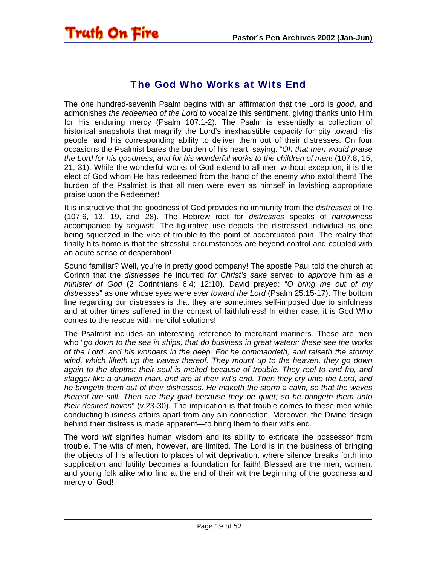<span id="page-18-0"></span>

#### The God Who Works at Wits End

The one hundred-seventh Psalm begins with an affirmation that the Lord is *good*, and admonishes *the redeemed of the Lord* to vocalize this sentiment, giving thanks unto Him for His enduring mercy (Psalm 107:1-2). The Psalm is essentially a collection of historical snapshots that magnify the Lord's inexhaustible capacity for pity toward His people, and His corresponding ability to deliver them out of their distresses. On four occasions the Psalmist bares the burden of his heart, saying: "*Oh that men would praise the Lord for his goodness, and for his wonderful works to the children of men!* (107:8, 15, 21, 31). While the wonderful works of God extend to all men without exception, it is the elect of God whom He has redeemed from the hand of the enemy who extol them! The burden of the Psalmist is that all men were even as himself in lavishing appropriate praise upon the Redeemer!

It is instructive that the goodness of God provides no immunity from the *distresses* of life (107:6, 13, 19, and 28). The Hebrew root for *distresses* speaks of *narrowness* accompanied by *anguish*. The figurative use depicts the distressed individual as one being squeezed in the vice of trouble to the point of accentuated pain. The reality that finally hits home is that the stressful circumstances are beyond control and coupled with an acute sense of desperation!

Sound familiar? Well, you're in pretty good company! The apostle Paul told the church at Corinth that the *distresses* he incurred *for Christ's sake* served to *approve* him as *a minister of God* (2 Corinthians 6:4; 12:10). David prayed: "*O bring me out of my distresses*" as one whose *eyes* were *ever toward the Lord* (Psalm 25:15-17). The bottom line regarding our distresses is that they are sometimes self-imposed due to sinfulness and at other times suffered in the context of faithfulness! In either case, it is God Who comes to the rescue with merciful solutions!

The Psalmist includes an interesting reference to merchant mariners. These are men who "*go down to the sea in ships, that do business in great waters; these see the works of the Lord, and his wonders in the deep. For he commandeth, and raiseth the stormy wind, which lifteth up the waves thereof. They mount up to the heaven, they go down*  again to the depths: their soul is melted because of trouble. They reel to and fro, and *stagger like a drunken man, and are at their wit's end. Then they cry unto the Lord, and he bringeth them out of their distresses. He maketh the storm a calm, so that the waves thereof are still. Then are they glad because they be quiet; so he bringeth them unto their desired haven*" (v.23-30). The implication is that trouble comes to these men while conducting business affairs apart from any sin connection. Moreover, the Divine design behind their distress is made apparent—to bring them to their wit's end.

The word *wit* signifies human wisdom and its ability to extricate the possessor from trouble. The wits of men, however, are limited. The Lord is in the business of bringing the objects of his affection to places of wit deprivation, where silence breaks forth into supplication and futility becomes a foundation for faith! Blessed are the men, women, and young folk alike who find at the end of their wit the beginning of the goodness and mercy of God!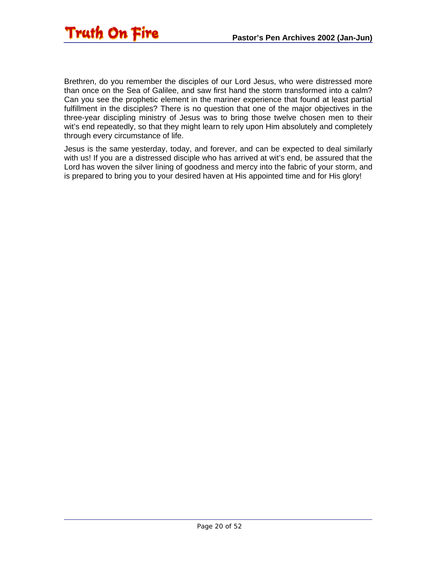

Brethren, do you remember the disciples of our Lord Jesus, who were distressed more than once on the Sea of Galilee, and saw first hand the storm transformed into a calm? Can you see the prophetic element in the mariner experience that found at least partial fulfillment in the disciples? There is no question that one of the major objectives in the three-year discipling ministry of Jesus was to bring those twelve chosen men to their wit's end repeatedly, so that they might learn to rely upon Him absolutely and completely through every circumstance of life.

Jesus is the same yesterday, today, and forever, and can be expected to deal similarly with us! If you are a distressed disciple who has arrived at wit's end, be assured that the Lord has woven the silver lining of goodness and mercy into the fabric of your storm, and is prepared to bring you to your desired haven at His appointed time and for His glory!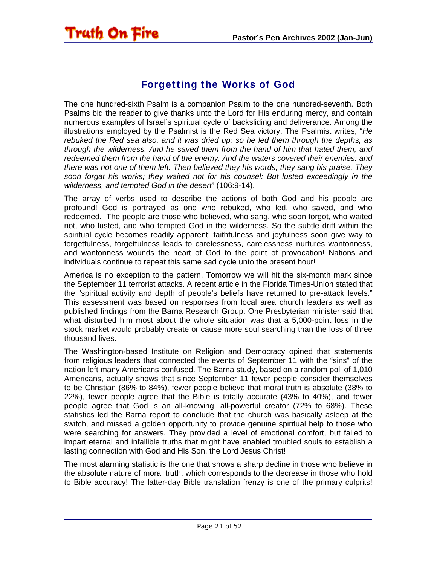## <span id="page-20-0"></span>**Truth On Fire**

#### Forgetting the Works of God

The one hundred-sixth Psalm is a companion Psalm to the one hundred-seventh. Both Psalms bid the reader to give thanks unto the Lord for His enduring mercy, and contain numerous examples of Israel's spiritual cycle of backsliding and deliverance. Among the illustrations employed by the Psalmist is the Red Sea victory. The Psalmist writes, "*He rebuked the Red sea also, and it was dried up: so he led them through the depths, as through the wilderness. And he saved them from the hand of him that hated them, and redeemed them from the hand of the enemy. And the waters covered their enemies: and there was not one of them left. Then believed they his words; they sang his praise. They soon forgat his works; they waited not for his counsel: But lusted exceedingly in the wilderness, and tempted God in the desert*" (106:9-14).

The array of verbs used to describe the actions of both God and his people are profound! God is portrayed as one who rebuked, who led, who saved, and who redeemed. The people are those who believed, who sang, who soon forgot, who waited not, who lusted, and who tempted God in the wilderness. So the subtle drift within the spiritual cycle becomes readily apparent: faithfulness and joyfulness soon give way to forgetfulness, forgetfulness leads to carelessness, carelessness nurtures wantonness, and wantonness wounds the heart of God to the point of provocation! Nations and individuals continue to repeat this same sad cycle unto the present hour!

America is no exception to the pattern. Tomorrow we will hit the six-month mark since the September 11 terrorist attacks. A recent article in the Florida Times-Union stated that the "spiritual activity and depth of people's beliefs have returned to pre-attack levels." This assessment was based on responses from local area church leaders as well as published findings from the Barna Research Group. One Presbyterian minister said that what disturbed him most about the whole situation was that a 5,000-point loss in the stock market would probably create or cause more soul searching than the loss of three thousand lives.

The Washington-based Institute on Religion and Democracy opined that statements from religious leaders that connected the events of September 11 with the "sins" of the nation left many Americans confused. The Barna study, based on a random poll of 1,010 Americans, actually shows that since September 11 fewer people consider themselves to be Christian (86% to 84%), fewer people believe that moral truth is absolute (38% to 22%), fewer people agree that the Bible is totally accurate (43% to 40%), and fewer people agree that God is an all-knowing, all-powerful creator (72% to 68%). These statistics led the Barna report to conclude that the church was basically asleep at the switch, and missed a golden opportunity to provide genuine spiritual help to those who were searching for answers. They provided a level of emotional comfort, but failed to impart eternal and infallible truths that might have enabled troubled souls to establish a lasting connection with God and His Son, the Lord Jesus Christ!

The most alarming statistic is the one that shows a sharp decline in those who believe in the absolute nature of moral truth, which corresponds to the decrease in those who hold to Bible accuracy! The latter-day Bible translation frenzy is one of the primary culprits!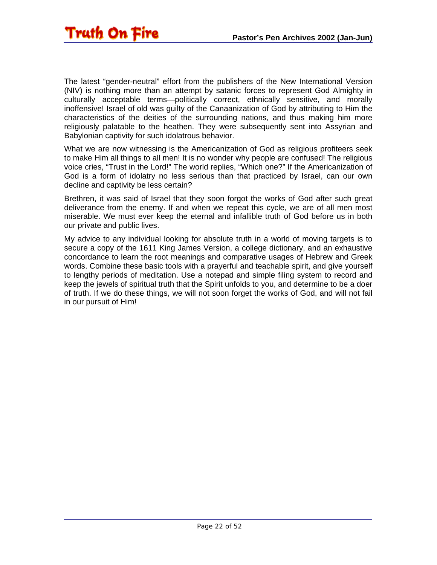The latest "gender-neutral" effort from the publishers of the New International Version (NIV) is nothing more than an attempt by satanic forces to represent God Almighty in culturally acceptable terms—politically correct, ethnically sensitive, and morally inoffensive! Israel of old was guilty of the Canaanization of God by attributing to Him the characteristics of the deities of the surrounding nations, and thus making him more religiously palatable to the heathen. They were subsequently sent into Assyrian and Babylonian captivity for such idolatrous behavior.

What we are now witnessing is the Americanization of God as religious profiteers seek to make Him all things to all men! It is no wonder why people are confused! The religious voice cries, "Trust in the Lord!" The world replies, "Which one?" If the Americanization of God is a form of idolatry no less serious than that practiced by Israel, can our own decline and captivity be less certain?

Brethren, it was said of Israel that they soon forgot the works of God after such great deliverance from the enemy. If and when we repeat this cycle, we are of all men most miserable. We must ever keep the eternal and infallible truth of God before us in both our private and public lives.

My advice to any individual looking for absolute truth in a world of moving targets is to secure a copy of the 1611 King James Version, a college dictionary, and an exhaustive concordance to learn the root meanings and comparative usages of Hebrew and Greek words. Combine these basic tools with a prayerful and teachable spirit, and give yourself to lengthy periods of meditation. Use a notepad and simple filing system to record and keep the jewels of spiritual truth that the Spirit unfolds to you, and determine to be a doer of truth. If we do these things, we will not soon forget the works of God, and will not fail in our pursuit of Him!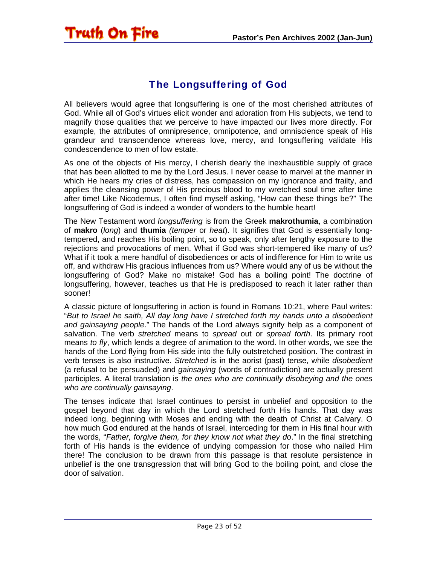#### The Longsuffering of God

<span id="page-22-0"></span>Truth On Fire

All believers would agree that longsuffering is one of the most cherished attributes of God. While all of God's virtues elicit wonder and adoration from His subjects, we tend to magnify those qualities that we perceive to have impacted our lives more directly. For example, the attributes of omnipresence, omnipotence, and omniscience speak of His grandeur and transcendence whereas love, mercy, and longsuffering validate His condescendence to men of low estate.

As one of the objects of His mercy, I cherish dearly the inexhaustible supply of grace that has been allotted to me by the Lord Jesus. I never cease to marvel at the manner in which He hears my cries of distress, has compassion on my ignorance and frailty, and applies the cleansing power of His precious blood to my wretched soul time after time after time! Like Nicodemus, I often find myself asking, "How can these things be?" The longsuffering of God is indeed a wonder of wonders to the humble heart!

The New Testament word *longsuffering* is from the Greek **makrothumia**, a combination of **makro** (*long*) and **thumia** *(temper* or *heat*). It signifies that God is essentially longtempered, and reaches His boiling point, so to speak, only after lengthy exposure to the rejections and provocations of men. What if God was short-tempered like many of us? What if it took a mere handful of disobediences or acts of indifference for Him to write us off, and withdraw His gracious influences from us? Where would any of us be without the longsuffering of God? Make no mistake! God has a boiling point! The doctrine of longsuffering, however, teaches us that He is predisposed to reach it later rather than sooner!

A classic picture of longsuffering in action is found in Romans 10:21, where Paul writes: "*But to Israel he saith, All day long have I stretched forth my hands unto a disobedient and gainsaying people*." The hands of the Lord always signify help as a component of salvation. The verb *stretched* means to *spread* out or *spread forth*. Its primary root means *to fly*, which lends a degree of animation to the word. In other words, we see the hands of the Lord flying from His side into the fully outstretched position. The contrast in verb tenses is also instructive. *Stretched* is in the aorist (past) tense, while *disobedient* (a refusal to be persuaded) and *gainsaying* (words of contradiction) are actually present participles. A literal translation is *the ones who are continually disobeying and the ones who are continually gainsaying*.

The tenses indicate that Israel continues to persist in unbelief and opposition to the gospel beyond that day in which the Lord stretched forth His hands. That day was indeed long, beginning with Moses and ending with the death of Christ at Calvary. O how much God endured at the hands of Israel, interceding for them in His final hour with the words, "*Father, forgive them, for they know not what they do*." In the final stretching forth of His hands is the evidence of undying compassion for those who nailed Him there! The conclusion to be drawn from this passage is that resolute persistence in unbelief is the one transgression that will bring God to the boiling point, and close the door of salvation.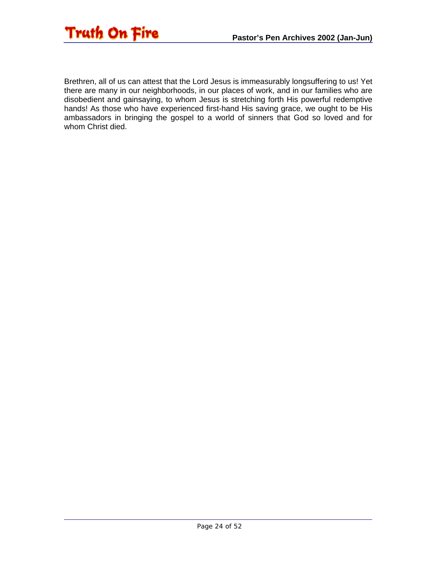

Brethren, all of us can attest that the Lord Jesus is immeasurably longsuffering to us! Yet there are many in our neighborhoods, in our places of work, and in our families who are disobedient and gainsaying, to whom Jesus is stretching forth His powerful redemptive hands! As those who have experienced first-hand His saving grace, we ought to be His ambassadors in bringing the gospel to a world of sinners that God so loved and for whom Christ died.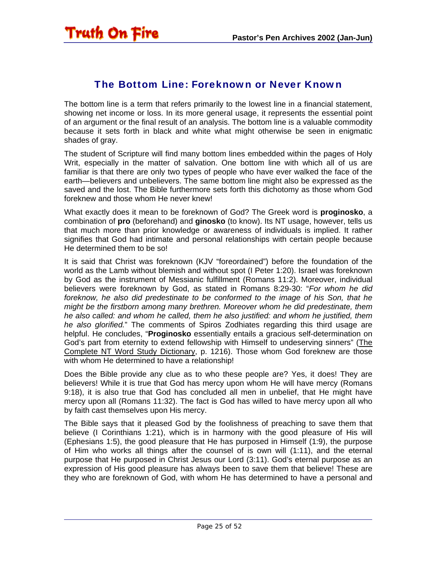#### The Bottom Line: Foreknown or Never Known

<span id="page-24-0"></span>The bottom line is a term that refers primarily to the lowest line in a financial statement, showing net income or loss. In its more general usage, it represents the essential point of an argument or the final result of an analysis. The bottom line is a valuable commodity because it sets forth in black and white what might otherwise be seen in enigmatic shades of gray.

The student of Scripture will find many bottom lines embedded within the pages of Holy Writ, especially in the matter of salvation. One bottom line with which all of us are familiar is that there are only two types of people who have ever walked the face of the earth—believers and unbelievers. The same bottom line might also be expressed as the saved and the lost. The Bible furthermore sets forth this dichotomy as those whom God foreknew and those whom He never knew!

What exactly does it mean to be foreknown of God? The Greek word is **proginosko**, a combination of **pro** (beforehand) and **ginosko** (to know). Its NT usage, however, tells us that much more than prior knowledge or awareness of individuals is implied. It rather signifies that God had intimate and personal relationships with certain people because He determined them to be so!

It is said that Christ was foreknown (KJV "foreordained") before the foundation of the world as the Lamb without blemish and without spot (I Peter 1:20). Israel was foreknown by God as the instrument of Messianic fulfillment (Romans 11:2). Moreover, individual believers were foreknown by God, as stated in Romans 8:29-30: "*For whom he did foreknow, he also did predestinate to be conformed to the image of his Son, that he might be the firstborn among many brethren. Moreover whom he did predestinate, them he also called: and whom he called, them he also justified: and whom he justified, them he also glorified.*" The comments of Spiros Zodhiates regarding this third usage are helpful. He concludes, "**Proginosko** essentially entails a gracious self-determination on God's part from eternity to extend fellowship with Himself to undeserving sinners" (The Complete NT Word Study Dictionary, p. 1216). Those whom God foreknew are those with whom He determined to have a relationship!

Does the Bible provide any clue as to who these people are? Yes, it does! They are believers! While it is true that God has mercy upon whom He will have mercy (Romans 9:18), it is also true that God has concluded all men in unbelief, that He might have mercy upon all (Romans 11:32). The fact is God has willed to have mercy upon all who by faith cast themselves upon His mercy.

The Bible says that it pleased God by the foolishness of preaching to save them that believe (I Corinthians 1:21), which is in harmony with the good pleasure of His will (Ephesians 1:5), the good pleasure that He has purposed in Himself (1:9), the purpose of Him who works all things after the counsel of is own will (1:11), and the eternal purpose that He purposed in Christ Jesus our Lord (3:11). God's eternal purpose as an expression of His good pleasure has always been to save them that believe! These are they who are foreknown of God, with whom He has determined to have a personal and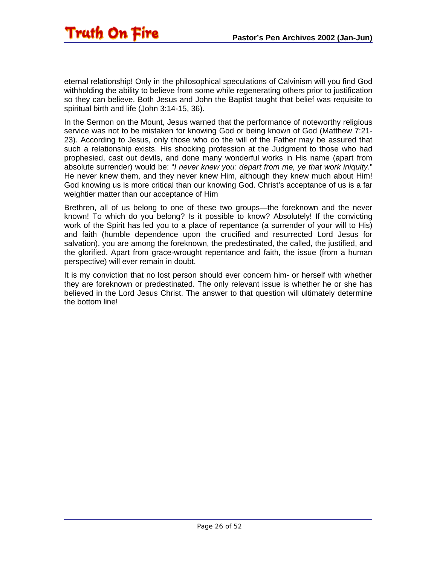eternal relationship! Only in the philosophical speculations of Calvinism will you find God withholding the ability to believe from some while regenerating others prior to justification so they can believe. Both Jesus and John the Baptist taught that belief was requisite to spiritual birth and life (John 3:14-15, 36).

In the Sermon on the Mount, Jesus warned that the performance of noteworthy religious service was not to be mistaken for knowing God or being known of God (Matthew 7:21- 23). According to Jesus, only those who do the will of the Father may be assured that such a relationship exists. His shocking profession at the Judgment to those who had prophesied, cast out devils, and done many wonderful works in His name (apart from absolute surrender) would be: "*I never knew you: depart from me, ye that work iniquity*." He never knew them, and they never knew Him, although they knew much about Him! God knowing us is more critical than our knowing God. Christ's acceptance of us is a far weightier matter than our acceptance of Him

Brethren, all of us belong to one of these two groups—the foreknown and the never known! To which do you belong? Is it possible to know? Absolutely! If the convicting work of the Spirit has led you to a place of repentance (a surrender of your will to His) and faith (humble dependence upon the crucified and resurrected Lord Jesus for salvation), you are among the foreknown, the predestinated, the called, the justified, and the glorified. Apart from grace-wrought repentance and faith, the issue (from a human perspective) will ever remain in doubt.

It is my conviction that no lost person should ever concern him- or herself with whether they are foreknown or predestinated. The only relevant issue is whether he or she has believed in the Lord Jesus Christ. The answer to that question will ultimately determine the bottom line!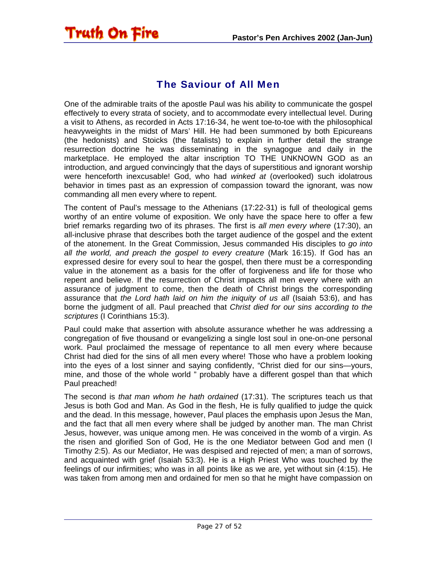#### The Saviour of All Men

<span id="page-26-0"></span>**Truth On Fire** 

One of the admirable traits of the apostle Paul was his ability to communicate the gospel effectively to every strata of society, and to accommodate every intellectual level. During a visit to Athens, as recorded in Acts 17:16-34, he went toe-to-toe with the philosophical heavyweights in the midst of Mars' Hill. He had been summoned by both Epicureans (the hedonists) and Stoicks (the fatalists) to explain in further detail the strange resurrection doctrine he was disseminating in the synagogue and daily in the marketplace. He employed the altar inscription TO THE UNKNOWN GOD as an introduction, and argued convincingly that the days of superstitious and ignorant worship were henceforth inexcusable! God, who had *winked at* (overlooked) such idolatrous behavior in times past as an expression of compassion toward the ignorant, was now commanding all men every where to repent.

The content of Paul's message to the Athenians (17:22-31) is full of theological gems worthy of an entire volume of exposition. We only have the space here to offer a few brief remarks regarding two of its phrases. The first is *all men every where* (17:30), an all-inclusive phrase that describes both the target audience of the gospel and the extent of the atonement. In the Great Commission, Jesus commanded His disciples to *go into all the world, and preach the gospel to every creature* (Mark 16:15). If God has an expressed desire for every soul to hear the gospel, then there must be a corresponding value in the atonement as a basis for the offer of forgiveness and life for those who repent and believe. If the resurrection of Christ impacts all men every where with an assurance of judgment to come, then the death of Christ brings the corresponding assurance that *the Lord hath laid on him the iniquity of us all* (Isaiah 53:6), and has borne the judgment of all. Paul preached that *Christ died for our sins according to the scriptures* (I Corinthians 15:3).

Paul could make that assertion with absolute assurance whether he was addressing a congregation of five thousand or evangelizing a single lost soul in one-on-one personal work. Paul proclaimed the message of repentance to all men every where because Christ had died for the sins of all men every where! Those who have a problem looking into the eyes of a lost sinner and saying confidently, "Christ died for our sins—yours, mine, and those of the whole world " probably have a different gospel than that which Paul preached!

The second is *that man whom he hath ordained* (17:31). The scriptures teach us that Jesus is both God and Man. As God in the flesh, He is fully qualified to judge the quick and the dead. In this message, however, Paul places the emphasis upon Jesus the Man, and the fact that all men every where shall be judged by another man. The man Christ Jesus, however, was unique among men. He was conceived in the womb of a virgin. As the risen and glorified Son of God, He is the one Mediator between God and men (I Timothy 2:5). As our Mediator, He was despised and rejected of men; a man of sorrows, and acquainted with grief (Isaiah 53:3). He is a High Priest Who was touched by the feelings of our infirmities; who was in all points like as we are, yet without sin (4:15). He was taken from among men and ordained for men so that he might have compassion on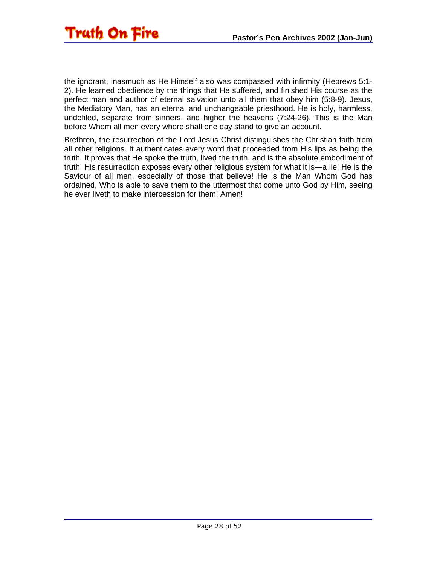

the ignorant, inasmuch as He Himself also was compassed with infirmity (Hebrews 5:1- 2). He learned obedience by the things that He suffered, and finished His course as the perfect man and author of eternal salvation unto all them that obey him (5:8-9). Jesus, the Mediatory Man, has an eternal and unchangeable priesthood. He is holy, harmless, undefiled, separate from sinners, and higher the heavens (7:24-26). This is the Man before Whom all men every where shall one day stand to give an account.

Brethren, the resurrection of the Lord Jesus Christ distinguishes the Christian faith from all other religions. It authenticates every word that proceeded from His lips as being the truth. It proves that He spoke the truth, lived the truth, and is the absolute embodiment of truth! His resurrection exposes every other religious system for what it is—a lie! He is the Saviour of all men, especially of those that believe! He is the Man Whom God has ordained, Who is able to save them to the uttermost that come unto God by Him, seeing he ever liveth to make intercession for them! Amen!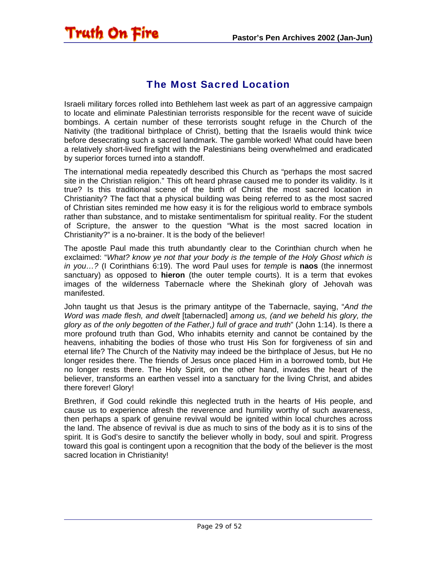#### The Most Sacred Location

<span id="page-28-0"></span>Truth On Fire

Israeli military forces rolled into Bethlehem last week as part of an aggressive campaign to locate and eliminate Palestinian terrorists responsible for the recent wave of suicide bombings. A certain number of these terrorists sought refuge in the Church of the Nativity (the traditional birthplace of Christ), betting that the Israelis would think twice before desecrating such a sacred landmark. The gamble worked! What could have been a relatively short-lived firefight with the Palestinians being overwhelmed and eradicated by superior forces turned into a standoff.

The international media repeatedly described this Church as "perhaps the most sacred site in the Christian religion." This oft heard phrase caused me to ponder its validity. Is it true? Is this traditional scene of the birth of Christ the most sacred location in Christianity? The fact that a physical building was being referred to as the most sacred of Christian sites reminded me how easy it is for the religious world to embrace symbols rather than substance, and to mistake sentimentalism for spiritual reality. For the student of Scripture, the answer to the question "What is the most sacred location in Christianity?" is a no-brainer. It is the body of the believer!

The apostle Paul made this truth abundantly clear to the Corinthian church when he exclaimed: "*What? know ye not that your body is the temple of the Holy Ghost which is in you…?* (I Corinthians 6:19). The word Paul uses for *temple* is **naos** (the innermost sanctuary) as opposed to **hieron** (the outer temple courts). It is a term that evokes images of the wilderness Tabernacle where the Shekinah glory of Jehovah was manifested.

John taught us that Jesus is the primary antitype of the Tabernacle, saying, "*And the Word was made flesh, and dwelt* [tabernacled] *among us, (and we beheld his glory, the glory as of the only begotten of the Father,) full of grace and truth*" (John 1:14). Is there a more profound truth than God, Who inhabits eternity and cannot be contained by the heavens, inhabiting the bodies of those who trust His Son for forgiveness of sin and eternal life? The Church of the Nativity may indeed be the birthplace of Jesus, but He no longer resides there. The friends of Jesus once placed Him in a borrowed tomb, but He no longer rests there. The Holy Spirit, on the other hand, invades the heart of the believer, transforms an earthen vessel into a sanctuary for the living Christ, and abides there forever! Glory!

Brethren, if God could rekindle this neglected truth in the hearts of His people, and cause us to experience afresh the reverence and humility worthy of such awareness, then perhaps a spark of genuine revival would be ignited within local churches across the land. The absence of revival is due as much to sins of the body as it is to sins of the spirit. It is God's desire to sanctify the believer wholly in body, soul and spirit. Progress toward this goal is contingent upon a recognition that the body of the believer is the most sacred location in Christianity!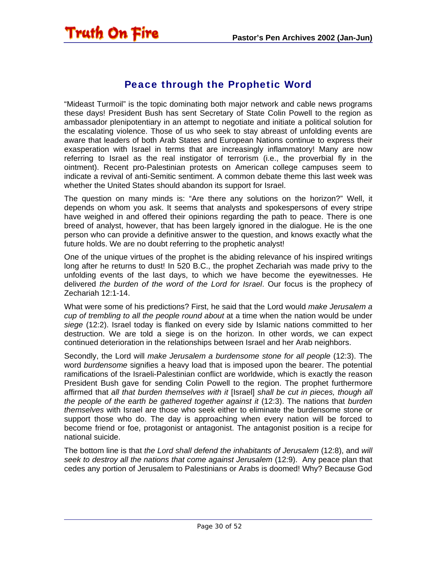<span id="page-29-0"></span>

#### Peace through the Prophetic Word

"Mideast Turmoil" is the topic dominating both major network and cable news programs these days! President Bush has sent Secretary of State Colin Powell to the region as ambassador plenipotentiary in an attempt to negotiate and initiate a political solution for the escalating violence. Those of us who seek to stay abreast of unfolding events are aware that leaders of both Arab States and European Nations continue to express their exasperation with Israel in terms that are increasingly inflammatory! Many are now referring to Israel as the real instigator of terrorism (i.e., the proverbial fly in the ointment). Recent pro-Palestinian protests on American college campuses seem to indicate a revival of anti-Semitic sentiment. A common debate theme this last week was whether the United States should abandon its support for Israel.

The question on many minds is: "Are there any solutions on the horizon?" Well, it depends on whom you ask. It seems that analysts and spokespersons of every stripe have weighed in and offered their opinions regarding the path to peace. There is one breed of analyst, however, that has been largely ignored in the dialogue. He is the one person who can provide a definitive answer to the question, and knows exactly what the future holds. We are no doubt referring to the prophetic analyst!

One of the unique virtues of the prophet is the abiding relevance of his inspired writings long after he returns to dust! In 520 B.C., the prophet Zechariah was made privy to the unfolding events of the last days, to which we have become the eyewitnesses. He delivered *the burden of the word of the Lord for Israel*. Our focus is the prophecy of Zechariah 12:1-14.

What were some of his predictions? First, he said that the Lord would *make Jerusalem a cup of trembling to all the people round about* at a time when the nation would be under *siege* (12:2). Israel today is flanked on every side by Islamic nations committed to her destruction. We are told a siege is on the horizon. In other words, we can expect continued deterioration in the relationships between Israel and her Arab neighbors.

Secondly, the Lord will *make Jerusalem a burdensome stone for all people* (12:3). The word *burdensome* signifies a heavy load that is imposed upon the bearer. The potential ramifications of the Israeli-Palestinian conflict are worldwide, which is exactly the reason President Bush gave for sending Colin Powell to the region. The prophet furthermore affirmed that *all that burden themselves with it* [Israel] *shall be cut in pieces, though all the people of the earth be gathered together against it* (12:3). The nations that *burden themselves* with Israel are those who seek either to eliminate the burdensome stone or support those who do. The day is approaching when every nation will be forced to become friend or foe, protagonist or antagonist. The antagonist position is a recipe for national suicide.

The bottom line is that *the Lord shall defend the inhabitants of Jerusalem* (12:8), and *will seek to destroy all the nations that come against Jerusalem* (12:9). Any peace plan that cedes any portion of Jerusalem to Palestinians or Arabs is doomed! Why? Because God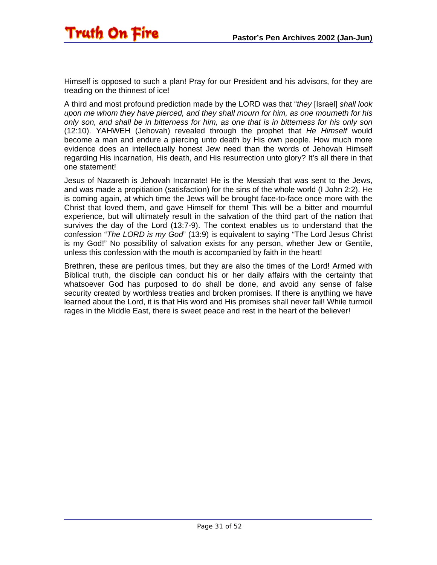

Himself is opposed to such a plan! Pray for our President and his advisors, for they are treading on the thinnest of ice!

A third and most profound prediction made by the LORD was that "*they* [Israel] *shall look upon me whom they have pierced, and they shall mourn for him, as one mourneth for his only son, and shall be in bitterness for him, as one that is in bitterness for his only son* (12:10). YAHWEH (Jehovah) revealed through the prophet that *He Himself* would become a man and endure a piercing unto death by His own people. How much more evidence does an intellectually honest Jew need than the words of Jehovah Himself regarding His incarnation, His death, and His resurrection unto glory? It's all there in that one statement!

Jesus of Nazareth is Jehovah Incarnate! He is the Messiah that was sent to the Jews, and was made a propitiation (satisfaction) for the sins of the whole world (I John 2:2). He is coming again, at which time the Jews will be brought face-to-face once more with the Christ that loved them, and gave Himself for them! This will be a bitter and mournful experience, but will ultimately result in the salvation of the third part of the nation that survives the day of the Lord (13:7-9). The context enables us to understand that the confession "*The LORD is my God*" (13:9) is equivalent to saying "The Lord Jesus Christ is my God!" No possibility of salvation exists for any person, whether Jew or Gentile, unless this confession with the mouth is accompanied by faith in the heart!

Brethren, these are perilous times, but they are also the times of the Lord! Armed with Biblical truth, the disciple can conduct his or her daily affairs with the certainty that whatsoever God has purposed to do shall be done, and avoid any sense of false security created by worthless treaties and broken promises. If there is anything we have learned about the Lord, it is that His word and His promises shall never fail! While turmoil rages in the Middle East, there is sweet peace and rest in the heart of the believer!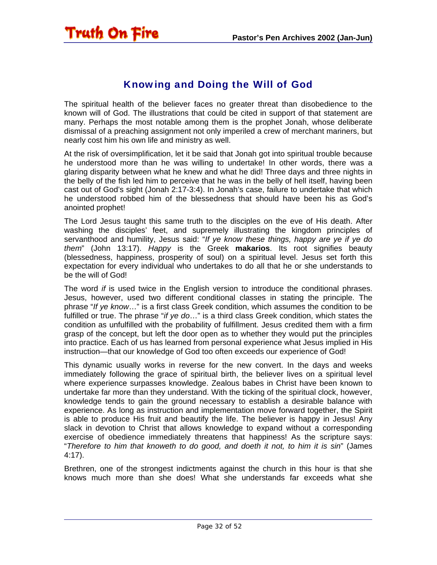<span id="page-31-0"></span>

#### Knowing and Doing the Will of God

The spiritual health of the believer faces no greater threat than disobedience to the known will of God. The illustrations that could be cited in support of that statement are many. Perhaps the most notable among them is the prophet Jonah, whose deliberate dismissal of a preaching assignment not only imperiled a crew of merchant mariners, but nearly cost him his own life and ministry as well.

At the risk of oversimplification, let it be said that Jonah got into spiritual trouble because he understood more than he was willing to undertake! In other words, there was a glaring disparity between what he knew and what he did! Three days and three nights in the belly of the fish led him to perceive that he was in the belly of hell itself, having been cast out of God's sight (Jonah 2:17-3:4). In Jonah's case, failure to undertake that which he understood robbed him of the blessedness that should have been his as God's anointed prophet!

The Lord Jesus taught this same truth to the disciples on the eve of His death. After washing the disciples' feet, and supremely illustrating the kingdom principles of servanthood and humility, Jesus said: "*If ye know these things, happy are ye if ye do them*" (John 13:17). *Happy* is the Greek **makarios**. Its root signifies beauty (blessedness, happiness, prosperity of soul) on a spiritual level. Jesus set forth this expectation for every individual who undertakes to do all that he or she understands to be the will of God!

The word *if* is used twice in the English version to introduce the conditional phrases. Jesus, however, used two different conditional classes in stating the principle. The phrase "*If ye know*…" is a first class Greek condition, which assumes the condition to be fulfilled or true. The phrase "*if ye do*…" is a third class Greek condition, which states the condition as unfulfilled with the probability of fulfillment. Jesus credited them with a firm grasp of the concept, but left the door open as to whether they would put the principles into practice. Each of us has learned from personal experience what Jesus implied in His instruction—that our knowledge of God too often exceeds our experience of God!

This dynamic usually works in reverse for the new convert. In the days and weeks immediately following the grace of spiritual birth, the believer lives on a spiritual level where experience surpasses knowledge. Zealous babes in Christ have been known to undertake far more than they understand. With the ticking of the spiritual clock, however, knowledge tends to gain the ground necessary to establish a desirable balance with experience. As long as instruction and implementation move forward together, the Spirit is able to produce His fruit and beautify the life. The believer is happy in Jesus! Any slack in devotion to Christ that allows knowledge to expand without a corresponding exercise of obedience immediately threatens that happiness! As the scripture says: "*Therefore to him that knoweth to do good, and doeth it not, to him it is sin*" (James 4:17).

Brethren, one of the strongest indictments against the church in this hour is that she knows much more than she does! What she understands far exceeds what she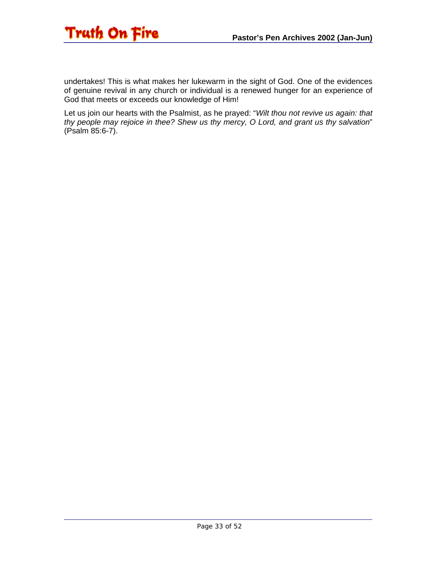

undertakes! This is what makes her lukewarm in the sight of God. One of the evidences of genuine revival in any church or individual is a renewed hunger for an experience of God that meets or exceeds our knowledge of Him!

Let us join our hearts with the Psalmist, as he prayed: "*Wilt thou not revive us again: that thy people may rejoice in thee? Shew us thy mercy, O Lord, and grant us thy salvation*" (Psalm 85:6-7).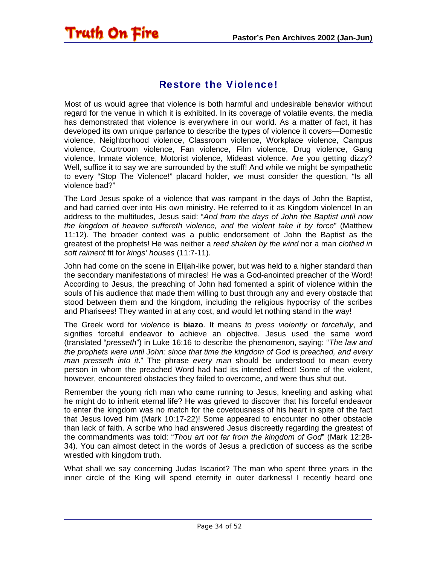#### Restore the Violence!

<span id="page-33-0"></span>Truth On Fire

Most of us would agree that violence is both harmful and undesirable behavior without regard for the venue in which it is exhibited. In its coverage of volatile events, the media has demonstrated that violence is everywhere in our world. As a matter of fact, it has developed its own unique parlance to describe the types of violence it covers—Domestic violence, Neighborhood violence, Classroom violence, Workplace violence, Campus violence, Courtroom violence, Fan violence, Film violence, Drug violence, Gang violence, Inmate violence, Motorist violence, Mideast violence. Are you getting dizzy? Well, suffice it to say we are surrounded by the stuff! And while we might be sympathetic to every "Stop The Violence!" placard holder, we must consider the question, "Is all violence bad?"

The Lord Jesus spoke of a violence that was rampant in the days of John the Baptist, and had carried over into His own ministry. He referred to it as Kingdom violence! In an address to the multitudes, Jesus said: "*And from the days of John the Baptist until now the kingdom of heaven suffereth violence, and the violent take it by force*" (Matthew 11:12). The broader context was a public endorsement of John the Baptist as the greatest of the prophets! He was neither a *reed shaken by the wind* nor a man *clothed in soft raiment* fit for *kings' houses* (11:7-11).

John had come on the scene in Elijah-like power, but was held to a higher standard than the secondary manifestations of miracles! He was a God-anointed preacher of the Word! According to Jesus, the preaching of John had fomented a spirit of violence within the souls of his audience that made them willing to bust through any and every obstacle that stood between them and the kingdom, including the religious hypocrisy of the scribes and Pharisees! They wanted in at any cost, and would let nothing stand in the way!

The Greek word for *violence* is **biazo**. It means *to press violently* or *forcefully*, and signifies forceful endeavor to achieve an objective. Jesus used the same word (translated "*presseth*") in Luke 16:16 to describe the phenomenon, saying: "*The law and the prophets were until John: since that time the kingdom of God is preached, and every man presseth into it*." The phrase *every man* should be understood to mean every person in whom the preached Word had had its intended effect! Some of the violent, however, encountered obstacles they failed to overcome, and were thus shut out.

Remember the young rich man who came running to Jesus, kneeling and asking what he might do to inherit eternal life? He was grieved to discover that his forceful endeavor to enter the kingdom was no match for the covetousness of his heart in spite of the fact that Jesus loved him (Mark 10:17-22)! Some appeared to encounter no other obstacle than lack of faith. A scribe who had answered Jesus discreetly regarding the greatest of the commandments was told: "*Thou art not far from the kingdom of God*" (Mark 12:28- 34). You can almost detect in the words of Jesus a prediction of success as the scribe wrestled with kingdom truth.

What shall we say concerning Judas Iscariot? The man who spent three years in the inner circle of the King will spend eternity in outer darkness! I recently heard one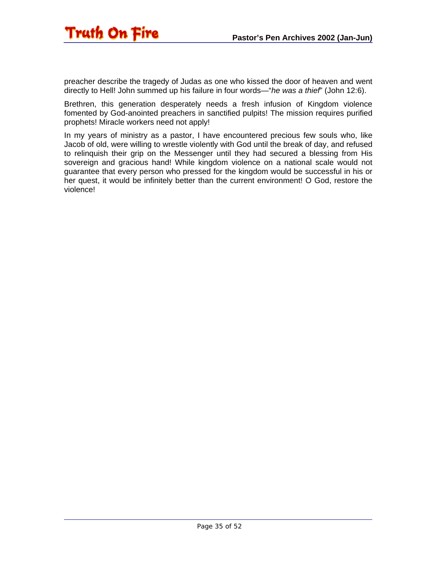preacher describe the tragedy of Judas as one who kissed the door of heaven and went directly to Hell! John summed up his failure in four words—"*he was a thief*" (John 12:6).

Brethren, this generation desperately needs a fresh infusion of Kingdom violence fomented by God-anointed preachers in sanctified pulpits! The mission requires purified prophets! Miracle workers need not apply!

In my years of ministry as a pastor, I have encountered precious few souls who, like Jacob of old, were willing to wrestle violently with God until the break of day, and refused to relinquish their grip on the Messenger until they had secured a blessing from His sovereign and gracious hand! While kingdom violence on a national scale would not guarantee that every person who pressed for the kingdom would be successful in his or her quest, it would be infinitely better than the current environment! O God, restore the violence!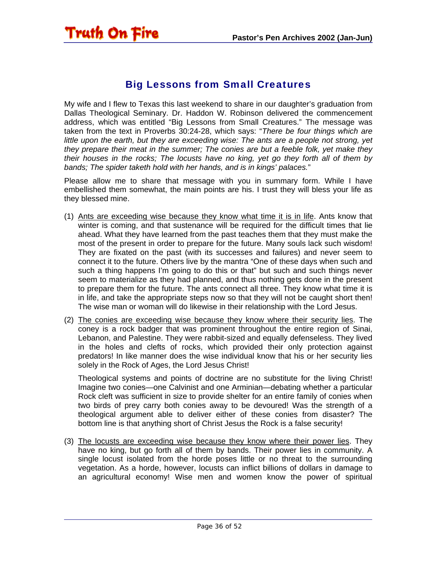<span id="page-35-0"></span>

#### Big Lessons from Small Creatures

My wife and I flew to Texas this last weekend to share in our daughter's graduation from Dallas Theological Seminary. Dr. Haddon W. Robinson delivered the commencement address, which was entitled "Big Lessons from Small Creatures." The message was taken from the text in Proverbs 30:24-28, which says: "*There be four things which are little upon the earth, but they are exceeding wise: The ants are a people not strong, yet they prepare their meat in the summer; The conies are but a feeble folk, yet make they their houses in the rocks; The locusts have no king, yet go they forth all of them by bands; The spider taketh hold with her hands, and is in kings' palaces.*"

Please allow me to share that message with you in summary form. While I have embellished them somewhat, the main points are his. I trust they will bless your life as they blessed mine.

- (1) Ants are exceeding wise because they know what time it is in life. Ants know that winter is coming, and that sustenance will be required for the difficult times that lie ahead. What they have learned from the past teaches them that they must make the most of the present in order to prepare for the future. Many souls lack such wisdom! They are fixated on the past (with its successes and failures) and never seem to connect it to the future. Others live by the mantra "One of these days when such and such a thing happens I'm going to do this or that" but such and such things never seem to materialize as they had planned, and thus nothing gets done in the present to prepare them for the future. The ants connect all three. They know what time it is in life, and take the appropriate steps now so that they will not be caught short then! The wise man or woman will do likewise in their relationship with the Lord Jesus.
- (2) The conies are exceeding wise because they know where their security lies. The coney is a rock badger that was prominent throughout the entire region of Sinai, Lebanon, and Palestine. They were rabbit-sized and equally defenseless. They lived in the holes and clefts of rocks, which provided their only protection against predators! In like manner does the wise individual know that his or her security lies solely in the Rock of Ages, the Lord Jesus Christ!

Theological systems and points of doctrine are no substitute for the living Christ! Imagine two conies—one Calvinist and one Arminian—debating whether a particular Rock cleft was sufficient in size to provide shelter for an entire family of conies when two birds of prey carry both conies away to be devoured! Was the strength of a theological argument able to deliver either of these conies from disaster? The bottom line is that anything short of Christ Jesus the Rock is a false security!

(3) The locusts are exceeding wise because they know where their power lies. They have no king, but go forth all of them by bands. Their power lies in community. A single locust isolated from the horde poses little or no threat to the surrounding vegetation. As a horde, however, locusts can inflict billions of dollars in damage to an agricultural economy! Wise men and women know the power of spiritual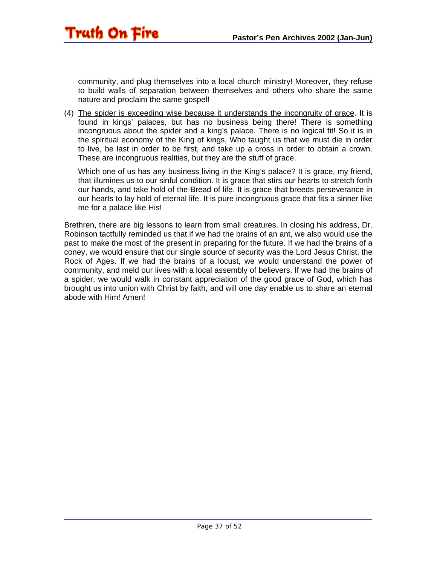community, and plug themselves into a local church ministry! Moreover, they refuse to build walls of separation between themselves and others who share the same nature and proclaim the same gospel!

Truth On Fire

(4) The spider is exceeding wise because it understands the incongruity of grace. It is found in kings' palaces, but has no business being there! There is something incongruous about the spider and a king's palace. There is no logical fit! So it is in the spiritual economy of the King of kings, Who taught us that we must die in order to live, be last in order to be first, and take up a cross in order to obtain a crown. These are incongruous realities, but they are the stuff of grace.

Which one of us has any business living in the King's palace? It is grace, my friend, that illumines us to our sinful condition. It is grace that stirs our hearts to stretch forth our hands, and take hold of the Bread of life. It is grace that breeds perseverance in our hearts to lay hold of eternal life. It is pure incongruous grace that fits a sinner like me for a palace like His!

Brethren, there are big lessons to learn from small creatures. In closing his address, Dr. Robinson tactfully reminded us that if we had the brains of an ant, we also would use the past to make the most of the present in preparing for the future. If we had the brains of a coney, we would ensure that our single source of security was the Lord Jesus Christ, the Rock of Ages. If we had the brains of a locust, we would understand the power of community, and meld our lives with a local assembly of believers. If we had the brains of a spider, we would walk in constant appreciation of the good grace of God, which has brought us into union with Christ by faith, and will one day enable us to share an eternal abode with Him! Amen!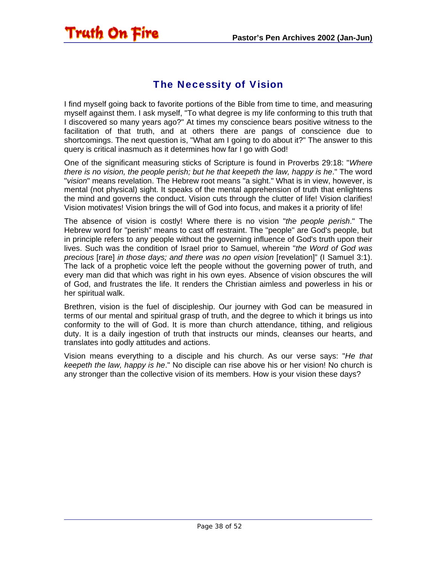#### The Necessity of Vision

<span id="page-37-0"></span>Truth On Fire

I find myself going back to favorite portions of the Bible from time to time, and measuring myself against them. I ask myself, "To what degree is my life conforming to this truth that I discovered so many years ago?" At times my conscience bears positive witness to the facilitation of that truth, and at others there are pangs of conscience due to shortcomings. The next question is, "What am I going to do about it?" The answer to this query is critical inasmuch as it determines how far I go with God!

One of the significant measuring sticks of Scripture is found in Proverbs 29:18: "*Where there is no vision, the people perish; but he that keepeth the law, happy is he*." The word "*vision*" means revelation. The Hebrew root means "a sight." What is in view, however, is mental (not physical) sight. It speaks of the mental apprehension of truth that enlightens the mind and governs the conduct. Vision cuts through the clutter of life! Vision clarifies! Vision motivates! Vision brings the will of God into focus, and makes it a priority of life!

The absence of vision is costly! Where there is no vision "*the people perish*." The Hebrew word for "perish" means to cast off restraint. The "people" are God's people, but in principle refers to any people without the governing influence of God's truth upon their lives. Such was the condition of Israel prior to Samuel, wherein "*the Word of God was precious* [rare] *in those days; and there was no open vision* [revelation]" (I Samuel 3:1). The lack of a prophetic voice left the people without the governing power of truth, and every man did that which was right in his own eyes. Absence of vision obscures the will of God, and frustrates the life. It renders the Christian aimless and powerless in his or her spiritual walk.

Brethren, vision is the fuel of discipleship. Our journey with God can be measured in terms of our mental and spiritual grasp of truth, and the degree to which it brings us into conformity to the will of God. It is more than church attendance, tithing, and religious duty. It is a daily ingestion of truth that instructs our minds, cleanses our hearts, and translates into godly attitudes and actions.

Vision means everything to a disciple and his church. As our verse says: "*He that keepeth the law, happy is he*." No disciple can rise above his or her vision! No church is any stronger than the collective vision of its members. How is your vision these days?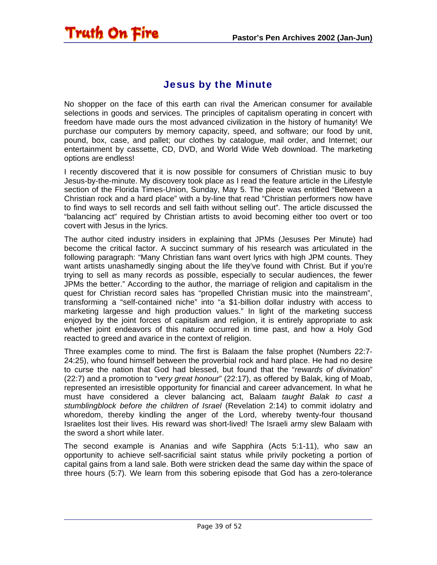#### Jesus by the Minute

<span id="page-38-0"></span>Truth On Fire

No shopper on the face of this earth can rival the American consumer for available selections in goods and services. The principles of capitalism operating in concert with freedom have made ours the most advanced civilization in the history of humanity! We purchase our computers by memory capacity, speed, and software; our food by unit, pound, box, case, and pallet; our clothes by catalogue, mail order, and Internet; our entertainment by cassette, CD, DVD, and World Wide Web download. The marketing options are endless!

I recently discovered that it is now possible for consumers of Christian music to buy Jesus-by-the-minute. My discovery took place as I read the feature article in the Lifestyle section of the Florida Times-Union, Sunday, May 5. The piece was entitled "Between a Christian rock and a hard place" with a by-line that read "Christian performers now have to find ways to sell records and sell faith without selling out". The article discussed the "balancing act" required by Christian artists to avoid becoming either too overt or too covert with Jesus in the lyrics.

The author cited industry insiders in explaining that JPMs (Jesuses Per Minute) had become the critical factor. A succinct summary of his research was articulated in the following paragraph: "Many Christian fans want overt lyrics with high JPM counts. They want artists unashamedly singing about the life they've found with Christ. But if you're trying to sell as many records as possible, especially to secular audiences, the fewer JPMs the better." According to the author, the marriage of religion and capitalism in the quest for Christian record sales has "propelled Christian music into the mainstream", transforming a "self-contained niche" into "a \$1-billion dollar industry with access to marketing largesse and high production values." In light of the marketing success enjoyed by the joint forces of capitalism and religion, it is entirely appropriate to ask whether joint endeavors of this nature occurred in time past, and how a Holy God reacted to greed and avarice in the context of religion.

Three examples come to mind. The first is Balaam the false prophet (Numbers 22:7- 24:25), who found himself between the proverbial rock and hard place. He had no desire to curse the nation that God had blessed, but found that the "*rewards of divination*" (22:7) and a promotion to "*very great honour*" (22:17), as offered by Balak, king of Moab, represented an irresistible opportunity for financial and career advancement. In what he must have considered a clever balancing act, Balaam *taught Balak to cast a stumblingblock before the children of Israel* (Revelation 2:14) to commit idolatry and whoredom, thereby kindling the anger of the Lord, whereby twenty-four thousand Israelites lost their lives. His reward was short-lived! The Israeli army slew Balaam with the sword a short while later.

The second example is Ananias and wife Sapphira (Acts 5:1-11), who saw an opportunity to achieve self-sacrificial saint status while privily pocketing a portion of capital gains from a land sale. Both were stricken dead the same day within the space of three hours (5:7). We learn from this sobering episode that God has a zero-tolerance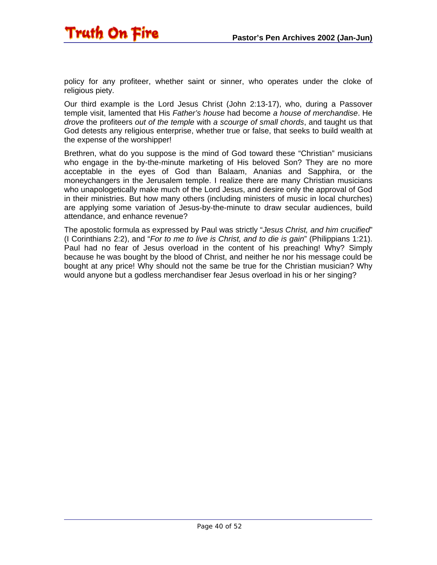

policy for any profiteer, whether saint or sinner, who operates under the cloke of religious piety.

Our third example is the Lord Jesus Christ (John 2:13-17), who, during a Passover temple visit, lamented that His *Father's house* had become *a house of merchandise*. He *drove* the profiteers *out of the temple* with *a scourge of small chords*, and taught us that God detests any religious enterprise, whether true or false, that seeks to build wealth at the expense of the worshipper!

Brethren, what do you suppose is the mind of God toward these "Christian" musicians who engage in the by-the-minute marketing of His beloved Son? They are no more acceptable in the eyes of God than Balaam, Ananias and Sapphira, or the moneychangers in the Jerusalem temple. I realize there are many Christian musicians who unapologetically make much of the Lord Jesus, and desire only the approval of God in their ministries. But how many others (including ministers of music in local churches) are applying some variation of Jesus-by-the-minute to draw secular audiences, build attendance, and enhance revenue?

The apostolic formula as expressed by Paul was strictly "*Jesus Christ, and him crucified*" (I Corinthians 2:2), and "*For to me to live is Christ, and to die is gain*" (Philippians 1:21). Paul had no fear of Jesus overload in the content of his preaching! Why? Simply because he was bought by the blood of Christ, and neither he nor his message could be bought at any price! Why should not the same be true for the Christian musician? Why would anyone but a godless merchandiser fear Jesus overload in his or her singing?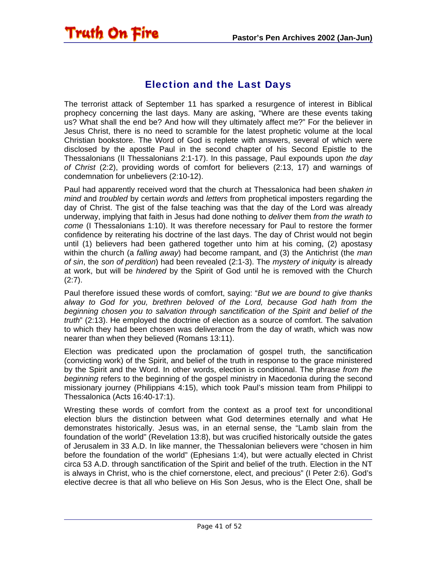#### Election and the Last Days

<span id="page-40-0"></span>Truth On Fire

The terrorist attack of September 11 has sparked a resurgence of interest in Biblical prophecy concerning the last days. Many are asking, "Where are these events taking us? What shall the end be? And how will they ultimately affect me?" For the believer in Jesus Christ, there is no need to scramble for the latest prophetic volume at the local Christian bookstore. The Word of God is replete with answers, several of which were disclosed by the apostle Paul in the second chapter of his Second Epistle to the Thessalonians (II Thessalonians 2:1-17). In this passage, Paul expounds upon *the day of Christ* (2:2), providing words of comfort for believers (2:13, 17) and warnings of condemnation for unbelievers (2:10-12).

Paul had apparently received word that the church at Thessalonica had been *shaken in mind* and *troubled* by certain *words* and *letters* from prophetical imposters regarding the day of Christ. The gist of the false teaching was that the day of the Lord was already underway, implying that faith in Jesus had done nothing to *deliver* them *from the wrath to come* (I Thessalonians 1:10). It was therefore necessary for Paul to restore the former confidence by reiterating his doctrine of the last days. The day of Christ would not begin until (1) believers had been gathered together unto him at his coming, (2) apostasy within the church (a *falling away*) had become rampant, and (3) the Antichrist (the *man of sin*, the *son of perdition*) had been revealed (2:1-3). The *mystery of iniquity* is already at work, but will be *hindered* by the Spirit of God until he is removed with the Church  $(2:7)$ .

Paul therefore issued these words of comfort, saying: "*But we are bound to give thanks alway to God for you, brethren beloved of the Lord, because God hath from the beginning chosen you to salvation through sanctification of the Spirit and belief of the truth*" (2:13). He employed the doctrine of election as a source of comfort. The salvation to which they had been chosen was deliverance from the day of wrath, which was now nearer than when they believed (Romans 13:11).

Election was predicated upon the proclamation of gospel truth, the sanctification (convicting work) of the Spirit, and belief of the truth in response to the grace ministered by the Spirit and the Word. In other words, election is conditional. The phrase *from the beginning* refers to the beginning of the gospel ministry in Macedonia during the second missionary journey (Philippians 4:15), which took Paul's mission team from Philippi to Thessalonica (Acts 16:40-17:1).

Wresting these words of comfort from the context as a proof text for unconditional election blurs the distinction between what God determines eternally and what He demonstrates historically. Jesus was, in an eternal sense, the "Lamb slain from the foundation of the world" (Revelation 13:8), but was crucified historically outside the gates of Jerusalem in 33 A.D. In like manner, the Thessalonian believers were "chosen in him before the foundation of the world" (Ephesians 1:4), but were actually elected in Christ circa 53 A.D. through sanctification of the Spirit and belief of the truth. Election in the NT is always in Christ, who is the chief cornerstone, elect, and precious" (I Peter 2:6). God's elective decree is that all who believe on His Son Jesus, who is the Elect One, shall be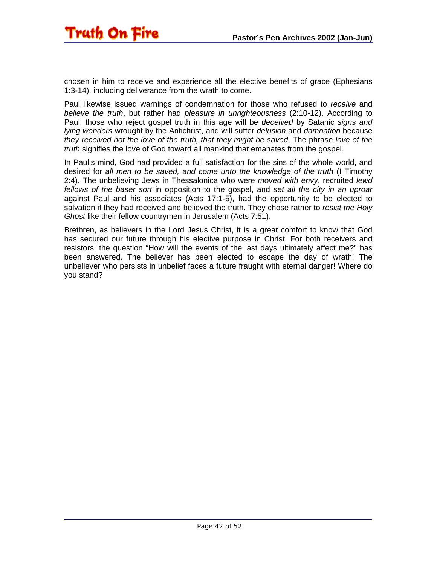chosen in him to receive and experience all the elective benefits of grace (Ephesians 1:3-14), including deliverance from the wrath to come.

Paul likewise issued warnings of condemnation for those who refused to *receive* and *believe the truth*, but rather had *pleasure in unrighteousness* (2:10-12). According to Paul, those who reject gospel truth in this age will be *deceived* by Satanic *signs and lying wonders* wrought by the Antichrist, and will suffer *delusion* and *damnation* because *they received not the love of the truth, that they might be saved*. The phrase *love of the truth* signifies the love of God toward all mankind that emanates from the gospel.

In Paul's mind, God had provided a full satisfaction for the sins of the whole world, and desired for *all men to be saved, and come unto the knowledge of the truth* (I Timothy 2:4). The unbelieving Jews in Thessalonica who were *moved with envy*, recruited *lewd fellows of the baser sort* in opposition to the gospel, and *set all the city in an uproar* against Paul and his associates (Acts 17:1-5), had the opportunity to be elected to salvation if they had received and believed the truth. They chose rather to *resist the Holy Ghost* like their fellow countrymen in Jerusalem (Acts 7:51).

Brethren, as believers in the Lord Jesus Christ, it is a great comfort to know that God has secured our future through his elective purpose in Christ. For both receivers and resistors, the question "How will the events of the last days ultimately affect me?" has been answered. The believer has been elected to escape the day of wrath! The unbeliever who persists in unbelief faces a future fraught with eternal danger! Where do you stand?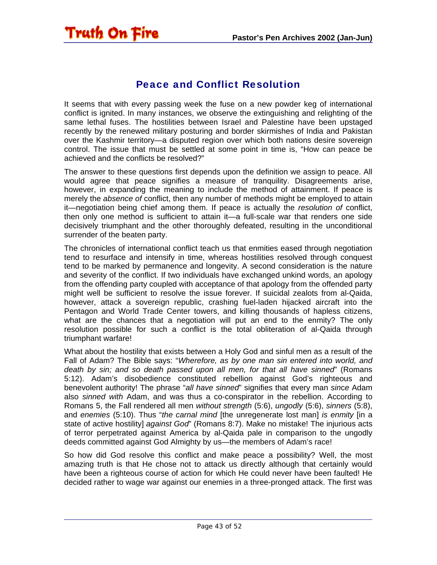<span id="page-42-0"></span>

#### Peace and Conflict Resolution

It seems that with every passing week the fuse on a new powder keg of international conflict is ignited. In many instances, we observe the extinguishing and relighting of the same lethal fuses. The hostilities between Israel and Palestine have been upstaged recently by the renewed military posturing and border skirmishes of India and Pakistan over the Kashmir territory—a disputed region over which both nations desire sovereign control. The issue that must be settled at some point in time is, "How can peace be achieved and the conflicts be resolved?"

The answer to these questions first depends upon the definition we assign to peace. All would agree that peace signifies a measure of tranquility. Disagreements arise, however, in expanding the meaning to include the method of attainment. If peace is merely the *absence of* conflict, then any number of methods might be employed to attain it—negotiation being chief among them. If peace is actually the *resolution of* conflict, then only one method is sufficient to attain it—a full-scale war that renders one side decisively triumphant and the other thoroughly defeated, resulting in the unconditional surrender of the beaten party.

The chronicles of international conflict teach us that enmities eased through negotiation tend to resurface and intensify in time, whereas hostilities resolved through conquest tend to be marked by permanence and longevity. A second consideration is the nature and severity of the conflict. If two individuals have exchanged unkind words, an apology from the offending party coupled with acceptance of that apology from the offended party might well be sufficient to resolve the issue forever. If suicidal zealots from al-Qaida, however, attack a sovereign republic, crashing fuel-laden hijacked aircraft into the Pentagon and World Trade Center towers, and killing thousands of hapless citizens, what are the chances that a negotiation will put an end to the enmity? The only resolution possible for such a conflict is the total obliteration of al-Qaida through triumphant warfare!

What about the hostility that exists between a Holy God and sinful men as a result of the Fall of Adam? The Bible says: "*Wherefore, as by one man sin entered into world, and death by sin; and so death passed upon all men, for that all have sinned*" (Romans 5:12). Adam's disobedience constituted rebellion against God's righteous and benevolent authority! The phrase "*all have sinned*" signifies that every man *sin*c*e* Adam also *sinned with* Adam, and was thus a co-conspirator in the rebellion. According to Romans 5, the Fall rendered all men *without strength* (5:6), *ungodly* (5:6), *sinners* (5:8), and *enemies* (5:10). Thus "*the carnal mind* [the unregenerate lost man] *is enmity* [in a state of active hostility] *against God*" (Romans 8:7). Make no mistake! The injurious acts of terror perpetrated against America by al-Qaida pale in comparison to the ungodly deeds committed against God Almighty by us—the members of Adam's race!

So how did God resolve this conflict and make peace a possibility? Well, the most amazing truth is that He chose not to attack us directly although that certainly would have been a righteous course of action for which He could never have been faulted! He decided rather to wage war against our enemies in a three-pronged attack. The first was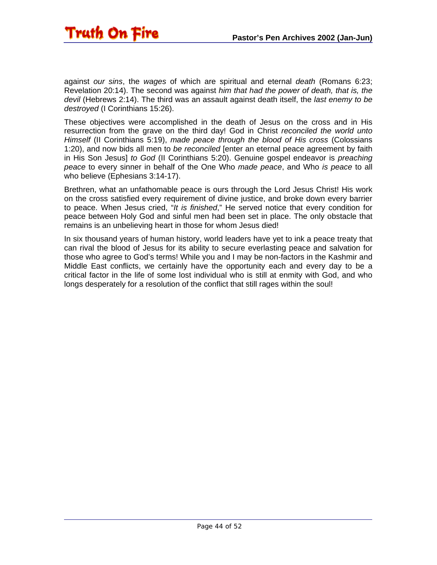

against *our sins*, the *wages* of which are spiritual and eternal *death* (Romans 6:23; Revelation 20:14). The second was against *him that had the power of death, that is, the devil* (Hebrews 2:14). The third was an assault against death itself, the *last enemy to be destroyed* (I Corinthians 15:26).

These objectives were accomplished in the death of Jesus on the cross and in His resurrection from the grave on the third day! God in Christ *reconciled the world unto Himself* (II Corinthians 5:19), *made peace through the blood of His cross* (Colossians 1:20), and now bids all men to *be reconciled* [enter an eternal peace agreement by faith in His Son Jesus] *to God* (II Corinthians 5:20). Genuine gospel endeavor is *preaching peace* to every sinner in behalf of the One Who *made peace*, and Who *is peace* to all who believe (Ephesians 3:14-17).

Brethren, what an unfathomable peace is ours through the Lord Jesus Christ! His work on the cross satisfied every requirement of divine justice, and broke down every barrier to peace. When Jesus cried, "*It is finished*," He served notice that every condition for peace between Holy God and sinful men had been set in place. The only obstacle that remains is an unbelieving heart in those for whom Jesus died!

In six thousand years of human history, world leaders have yet to ink a peace treaty that can rival the blood of Jesus for its ability to secure everlasting peace and salvation for those who agree to God's terms! While you and I may be non-factors in the Kashmir and Middle East conflicts, we certainly have the opportunity each and every day to be a critical factor in the life of some lost individual who is still at enmity with God, and who longs desperately for a resolution of the conflict that still rages within the soul!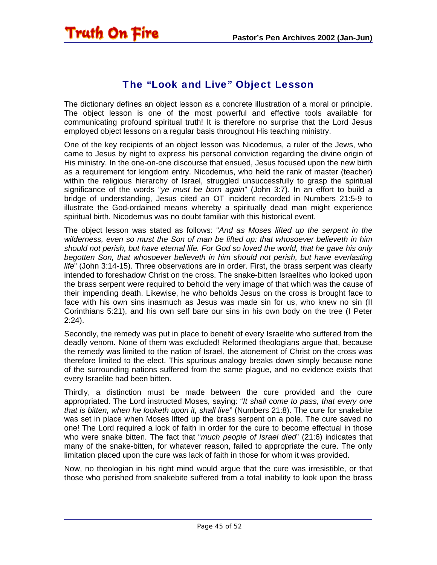<span id="page-44-0"></span>

#### The "Look and Live" Object Lesson

The dictionary defines an object lesson as a concrete illustration of a moral or principle. The object lesson is one of the most powerful and effective tools available for communicating profound spiritual truth! It is therefore no surprise that the Lord Jesus employed object lessons on a regular basis throughout His teaching ministry.

One of the key recipients of an object lesson was Nicodemus, a ruler of the Jews, who came to Jesus by night to express his personal conviction regarding the divine origin of His ministry. In the one-on-one discourse that ensued, Jesus focused upon the new birth as a requirement for kingdom entry. Nicodemus, who held the rank of master (teacher) within the religious hierarchy of Israel, struggled unsuccessfully to grasp the spiritual significance of the words "*ye must be born again*" (John 3:7). In an effort to build a bridge of understanding, Jesus cited an OT incident recorded in Numbers 21:5-9 to illustrate the God-ordained means whereby a spiritually dead man might experience spiritual birth. Nicodemus was no doubt familiar with this historical event.

The object lesson was stated as follows: "*And as Moses lifted up the serpent in the wilderness, even so must the Son of man be lifted up: that whosoever believeth in him should not perish, but have eternal life. For God so loved the world, that he gave his only begotten Son, that whosoever believeth in him should not perish, but have everlasting life*" (John 3:14-15). Three observations are in order. First, the brass serpent was clearly intended to foreshadow Christ on the cross. The snake-bitten Israelites who looked upon the brass serpent were required to behold the very image of that which was the cause of their impending death. Likewise, he who beholds Jesus on the cross is brought face to face with his own sins inasmuch as Jesus was made sin for us, who knew no sin (II Corinthians 5:21), and his own self bare our sins in his own body on the tree (I Peter 2:24).

Secondly, the remedy was put in place to benefit of every Israelite who suffered from the deadly venom. None of them was excluded! Reformed theologians argue that, because the remedy was limited to the nation of Israel, the atonement of Christ on the cross was therefore limited to the elect. This spurious analogy breaks down simply because none of the surrounding nations suffered from the same plague, and no evidence exists that every Israelite had been bitten.

Thirdly, a distinction must be made between the cure provided and the cure appropriated. The Lord instructed Moses, saying: "*It shall come to pass, that every one that is bitten, when he looketh upon it, shall live*" (Numbers 21:8). The cure for snakebite was set in place when Moses lifted up the brass serpent on a pole. The cure saved no one! The Lord required a look of faith in order for the cure to become effectual in those who were snake bitten. The fact that "*much people of Israel died*" (21:6) indicates that many of the snake-bitten, for whatever reason, failed to appropriate the cure. The only limitation placed upon the cure was lack of faith in those for whom it was provided.

Now, no theologian in his right mind would argue that the cure was irresistible, or that those who perished from snakebite suffered from a total inability to look upon the brass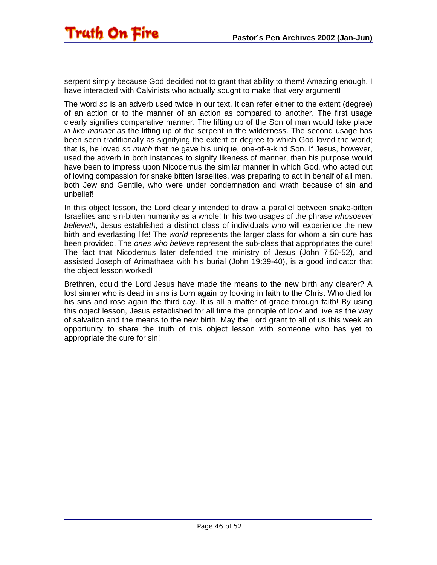serpent simply because God decided not to grant that ability to them! Amazing enough, I have interacted with Calvinists who actually sought to make that very argument!

The word *so* is an adverb used twice in our text. It can refer either to the extent (degree) of an action or to the manner of an action as compared to another. The first usage clearly signifies comparative manner. The lifting up of the Son of man would take place *in like manner as* the lifting up of the serpent in the wilderness. The second usage has been seen traditionally as signifying the extent or degree to which God loved the world; that is, he loved *so much* that he gave his unique, one-of-a-kind Son. If Jesus, however, used the adverb in both instances to signify likeness of manner, then his purpose would have been to impress upon Nicodemus the similar manner in which God, who acted out of loving compassion for snake bitten Israelites, was preparing to act in behalf of all men, both Jew and Gentile, who were under condemnation and wrath because of sin and unbelief!

In this object lesson, the Lord clearly intended to draw a parallel between snake-bitten Israelites and sin-bitten humanity as a whole! In his two usages of the phrase *whosoever believeth*, Jesus established a distinct class of individuals who will experience the new birth and everlasting life! The *world* represents the larger class for whom a sin cure has been provided. The *ones who believe* represent the sub-class that appropriates the cure! The fact that Nicodemus later defended the ministry of Jesus (John 7:50-52), and assisted Joseph of Arimathaea with his burial (John 19:39-40), is a good indicator that the object lesson worked!

Brethren, could the Lord Jesus have made the means to the new birth any clearer? A lost sinner who is dead in sins is born again by looking in faith to the Christ Who died for his sins and rose again the third day. It is all a matter of grace through faith! By using this object lesson, Jesus established for all time the principle of look and live as the way of salvation and the means to the new birth. May the Lord grant to all of us this week an opportunity to share the truth of this object lesson with someone who has yet to appropriate the cure for sin!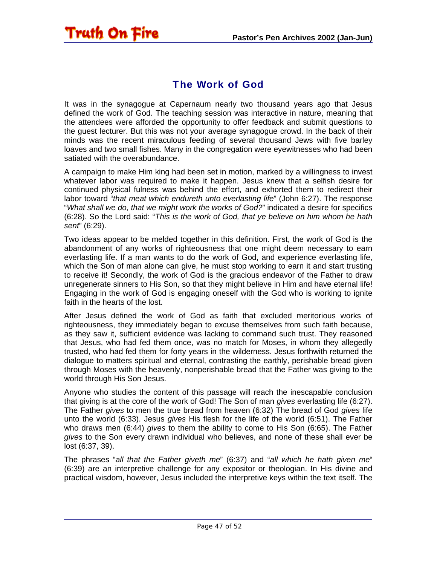#### The Work of God

<span id="page-46-0"></span>Truth On Fire

It was in the synagogue at Capernaum nearly two thousand years ago that Jesus defined the work of God. The teaching session was interactive in nature, meaning that the attendees were afforded the opportunity to offer feedback and submit questions to the guest lecturer. But this was not your average synagogue crowd. In the back of their minds was the recent miraculous feeding of several thousand Jews with five barley loaves and two small fishes. Many in the congregation were eyewitnesses who had been satiated with the overabundance.

A campaign to make Him king had been set in motion, marked by a willingness to invest whatever labor was required to make it happen. Jesus knew that a selfish desire for continued physical fulness was behind the effort, and exhorted them to redirect their labor toward "*that meat which endureth unto everlasting life*" (John 6:27). The response "*What shall we do, that we might work the works of God?*" indicated a desire for specifics (6:28). So the Lord said: "*This is the work of God, that ye believe on him whom he hath sent*" (6:29).

Two ideas appear to be melded together in this definition. First, the work of God is the abandonment of any works of righteousness that one might deem necessary to earn everlasting life. If a man wants to do the work of God, and experience everlasting life, which the Son of man alone can give, he must stop working to earn it and start trusting to receive it! Secondly, the work of God is the gracious endeavor of the Father to draw unregenerate sinners to His Son, so that they might believe in Him and have eternal life! Engaging in the work of God is engaging oneself with the God who is working to ignite faith in the hearts of the lost.

After Jesus defined the work of God as faith that excluded meritorious works of righteousness, they immediately began to excuse themselves from such faith because, as they saw it, sufficient evidence was lacking to command such trust. They reasoned that Jesus, who had fed them once, was no match for Moses, in whom they allegedly trusted, who had fed them for forty years in the wilderness. Jesus forthwith returned the dialogue to matters spiritual and eternal, contrasting the earthly, perishable bread given through Moses with the heavenly, nonperishable bread that the Father was giving to the world through His Son Jesus.

Anyone who studies the content of this passage will reach the inescapable conclusion that giving is at the core of the work of God! The Son of man *gives* everlasting life (6:27). The Father *gives* to men the true bread from heaven (6:32) The bread of God *gives* life unto the world (6:33). Jesus *gives* His flesh for the life of the world (6:51). The Father who draws men (6:44) *gives* to them the ability to come to His Son (6:65). The Father *gives* to the Son every drawn individual who believes, and none of these shall ever be lost (6:37, 39).

The phrases "*all that the Father giveth me*" (6:37) and "*all which he hath given me*" (6:39) are an interpretive challenge for any expositor or theologian. In His divine and practical wisdom, however, Jesus included the interpretive keys within the text itself. The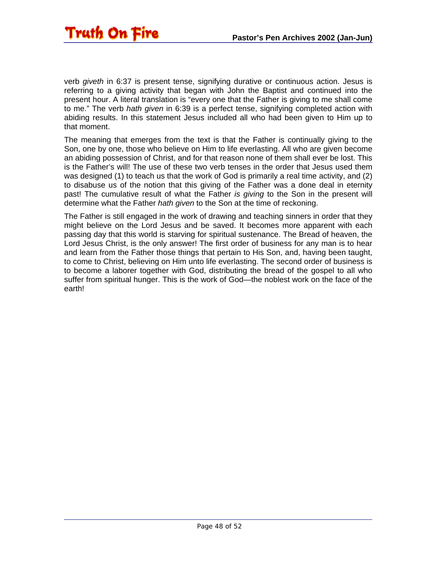

verb *giveth* in 6:37 is present tense, signifying durative or continuous action. Jesus is referring to a giving activity that began with John the Baptist and continued into the present hour. A literal translation is "every one that the Father is giving to me shall come to me." The verb *hath given* in 6:39 is a perfect tense, signifying completed action with abiding results. In this statement Jesus included all who had been given to Him up to that moment.

The meaning that emerges from the text is that the Father is continually giving to the Son, one by one, those who believe on Him to life everlasting. All who are given become an abiding possession of Christ, and for that reason none of them shall ever be lost. This is the Father's will! The use of these two verb tenses in the order that Jesus used them was designed (1) to teach us that the work of God is primarily a real time activity, and (2) to disabuse us of the notion that this giving of the Father was a done deal in eternity past! The cumulative result of what the Father *is giving* to the Son in the present will determine what the Father *hath given* to the Son at the time of reckoning.

The Father is still engaged in the work of drawing and teaching sinners in order that they might believe on the Lord Jesus and be saved. It becomes more apparent with each passing day that this world is starving for spiritual sustenance. The Bread of heaven, the Lord Jesus Christ, is the only answer! The first order of business for any man is to hear and learn from the Father those things that pertain to His Son, and, having been taught, to come to Christ, believing on Him unto life everlasting. The second order of business is to become a laborer together with God, distributing the bread of the gospel to all who suffer from spiritual hunger. This is the work of God—the noblest work on the face of the earth!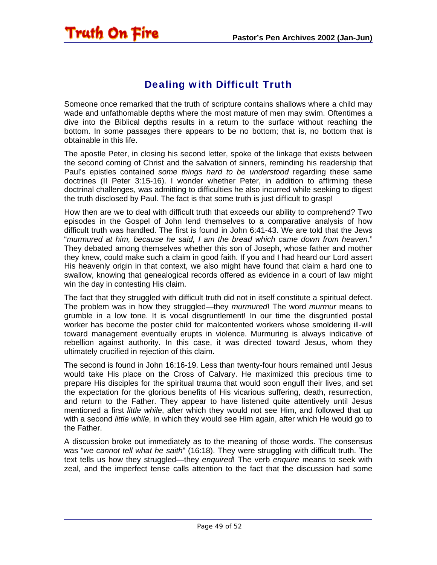#### Dealing with Difficult Truth

<span id="page-48-0"></span>Truth On Fire

Someone once remarked that the truth of scripture contains shallows where a child may wade and unfathomable depths where the most mature of men may swim. Oftentimes a dive into the Biblical depths results in a return to the surface without reaching the bottom. In some passages there appears to be no bottom; that is, no bottom that is obtainable in this life.

The apostle Peter, in closing his second letter, spoke of the linkage that exists between the second coming of Christ and the salvation of sinners, reminding his readership that Paul's epistles contained *some things hard to be understood* regarding these same doctrines (II Peter 3:15-16). I wonder whether Peter, in addition to affirming these doctrinal challenges, was admitting to difficulties he also incurred while seeking to digest the truth disclosed by Paul. The fact is that some truth is just difficult to grasp!

How then are we to deal with difficult truth that exceeds our ability to comprehend? Two episodes in the Gospel of John lend themselves to a comparative analysis of how difficult truth was handled. The first is found in John 6:41-43. We are told that the Jews "*murmured at him, because he said, I am the bread which came down from heaven*." They debated among themselves whether this son of Joseph, whose father and mother they knew, could make such a claim in good faith. If you and I had heard our Lord assert His heavenly origin in that context, we also might have found that claim a hard one to swallow, knowing that genealogical records offered as evidence in a court of law might win the day in contesting His claim.

The fact that they struggled with difficult truth did not in itself constitute a spiritual defect. The problem was in how they struggled—they *murmured*! The word *murmur* means to grumble in a low tone. It is vocal disgruntlement! In our time the disgruntled postal worker has become the poster child for malcontented workers whose smoldering ill-will toward management eventually erupts in violence. Murmuring is always indicative of rebellion against authority. In this case, it was directed toward Jesus, whom they ultimately crucified in rejection of this claim.

The second is found in John 16:16-19. Less than twenty-four hours remained until Jesus would take His place on the Cross of Calvary. He maximized this precious time to prepare His disciples for the spiritual trauma that would soon engulf their lives, and set the expectation for the glorious benefits of His vicarious suffering, death, resurrection, and return to the Father. They appear to have listened quite attentively until Jesus mentioned a first *little while*, after which they would not see Him, and followed that up with a second *little while*, in which they would see Him again, after which He would go to the Father.

A discussion broke out immediately as to the meaning of those words. The consensus was "*we cannot tell what he saith*" (16:18). They were struggling with difficult truth. The text tells us how they struggled—they *enquired*! The verb *enquire* means to seek with zeal, and the imperfect tense calls attention to the fact that the discussion had some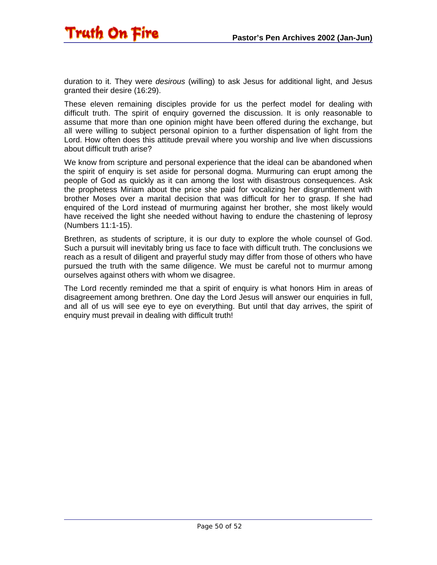

duration to it. They were *desirous* (willing) to ask Jesus for additional light, and Jesus granted their desire (16:29).

These eleven remaining disciples provide for us the perfect model for dealing with difficult truth. The spirit of enquiry governed the discussion. It is only reasonable to assume that more than one opinion might have been offered during the exchange, but all were willing to subject personal opinion to a further dispensation of light from the Lord. How often does this attitude prevail where you worship and live when discussions about difficult truth arise?

We know from scripture and personal experience that the ideal can be abandoned when the spirit of enquiry is set aside for personal dogma. Murmuring can erupt among the people of God as quickly as it can among the lost with disastrous consequences. Ask the prophetess Miriam about the price she paid for vocalizing her disgruntlement with brother Moses over a marital decision that was difficult for her to grasp. If she had enquired of the Lord instead of murmuring against her brother, she most likely would have received the light she needed without having to endure the chastening of leprosy (Numbers 11:1-15).

Brethren, as students of scripture, it is our duty to explore the whole counsel of God. Such a pursuit will inevitably bring us face to face with difficult truth. The conclusions we reach as a result of diligent and prayerful study may differ from those of others who have pursued the truth with the same diligence. We must be careful not to murmur among ourselves against others with whom we disagree.

The Lord recently reminded me that a spirit of enquiry is what honors Him in areas of disagreement among brethren. One day the Lord Jesus will answer our enquiries in full, and all of us will see eye to eye on everything. But until that day arrives, the spirit of enquiry must prevail in dealing with difficult truth!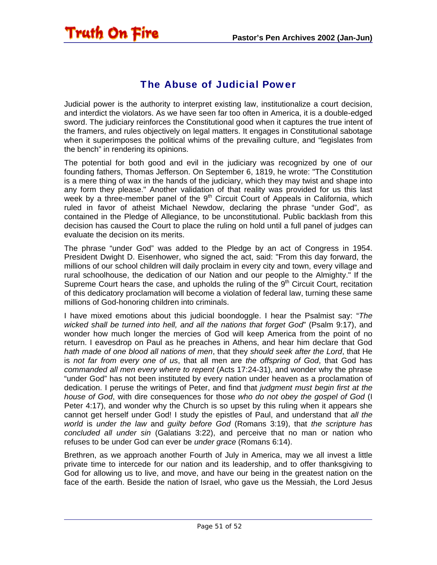#### The Abuse of Judicial Power

<span id="page-50-0"></span>Truth On Fire

Judicial power is the authority to interpret existing law, institutionalize a court decision, and interdict the violators. As we have seen far too often in America, it is a double-edged sword. The judiciary reinforces the Constitutional good when it captures the true intent of the framers, and rules objectively on legal matters. It engages in Constitutional sabotage when it superimposes the political whims of the prevailing culture, and "legislates from the bench" in rendering its opinions.

The potential for both good and evil in the judiciary was recognized by one of our founding fathers, Thomas Jefferson. On September 6, 1819, he wrote: "The Constitution is a mere thing of wax in the hands of the judiciary, which they may twist and shape into any form they please." Another validation of that reality was provided for us this last week by a three-member panel of the  $9<sup>th</sup>$  Circuit Court of Appeals in California, which ruled in favor of atheist Michael Newdow, declaring the phrase "under God", as contained in the Pledge of Allegiance, to be unconstitutional. Public backlash from this decision has caused the Court to place the ruling on hold until a full panel of judges can evaluate the decision on its merits.

The phrase "under God" was added to the Pledge by an act of Congress in 1954. President Dwight D. Eisenhower, who signed the act, said: "From this day forward, the millions of our school children will daily proclaim in every city and town, every village and rural schoolhouse, the dedication of our Nation and our people to the Almighty." If the Supreme Court hears the case, and upholds the ruling of the  $9<sup>th</sup>$  Circuit Court, recitation of this dedicatory proclamation will become a violation of federal law, turning these same millions of God-honoring children into criminals.

I have mixed emotions about this judicial boondoggle. I hear the Psalmist say: "*The wicked shall be turned into hell, and all the nations that forget God*" (Psalm 9:17), and wonder how much longer the mercies of God will keep America from the point of no return. I eavesdrop on Paul as he preaches in Athens, and hear him declare that God *hath made of one blood all nations of men*, that they *should seek after the Lord*, that He is *not far from every one of us*, that all men are *the offspring of God*, that God has *commanded all men every where to repent* (Acts 17:24-31), and wonder why the phrase "under God" has not been instituted by every nation under heaven as a proclamation of dedication. I peruse the writings of Peter, and find that *judgment must begin first at the house of God*, with dire consequences for those *who do not obey the gospel of God* (I Peter 4:17), and wonder why the Church is so upset by this ruling when it appears she cannot get herself under God! I study the epistles of Paul, and understand that *all the world* is *under the law* and *guilty before God* (Romans 3:19), that *the scripture has concluded all under sin* (Galatians 3:22), and perceive that no man or nation who refuses to be under God can ever be *under grace* (Romans 6:14).

Brethren, as we approach another Fourth of July in America, may we all invest a little private time to intercede for our nation and its leadership, and to offer thanksgiving to God for allowing us to live, and move, and have our being in the greatest nation on the face of the earth. Beside the nation of Israel, who gave us the Messiah, the Lord Jesus